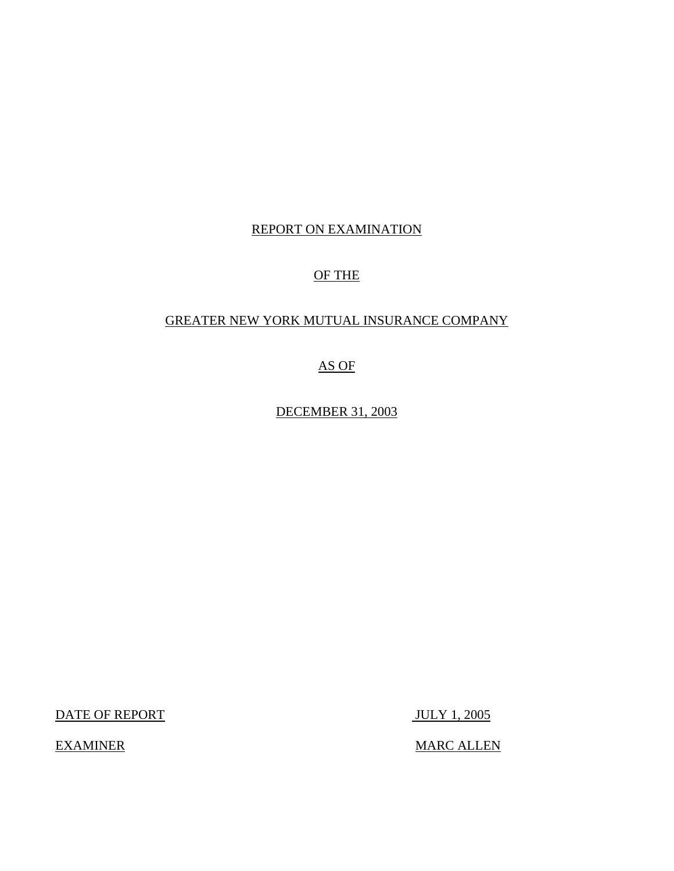# REPORT ON EXAMINATION

# OF THE

# GREATER NEW YORK MUTUAL INSURANCE COMPANY

# AS OF

DECEMBER 31, 2003

DATE OF REPORT JULY 1, 2005

EXAMINER MARC ALLEN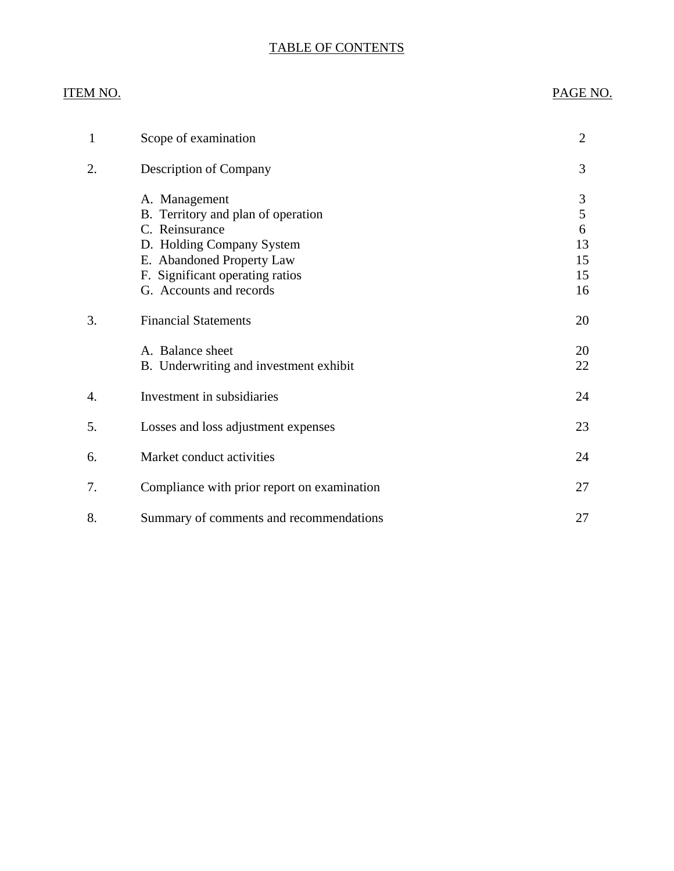# TABLE OF CONTENTS

# ITEM NO. PAGE NO.

| 1  | Scope of examination                                                                                                                                                                          | $\overline{2}$                      |
|----|-----------------------------------------------------------------------------------------------------------------------------------------------------------------------------------------------|-------------------------------------|
| 2. | <b>Description of Company</b>                                                                                                                                                                 | 3                                   |
|    | A. Management<br>B. Territory and plan of operation<br>C. Reinsurance<br>D. Holding Company System<br>E. Abandoned Property Law<br>F. Significant operating ratios<br>G. Accounts and records | 3<br>5<br>6<br>13<br>15<br>15<br>16 |
| 3. | <b>Financial Statements</b>                                                                                                                                                                   | 20                                  |
|    | A. Balance sheet<br>B. Underwriting and investment exhibit                                                                                                                                    | 20<br>22                            |
| 4. | Investment in subsidiaries                                                                                                                                                                    | 24                                  |
| 5. | Losses and loss adjustment expenses                                                                                                                                                           | 23                                  |
| 6. | Market conduct activities                                                                                                                                                                     | 24                                  |
| 7. | Compliance with prior report on examination                                                                                                                                                   | 27                                  |
| 8. | Summary of comments and recommendations                                                                                                                                                       | 27                                  |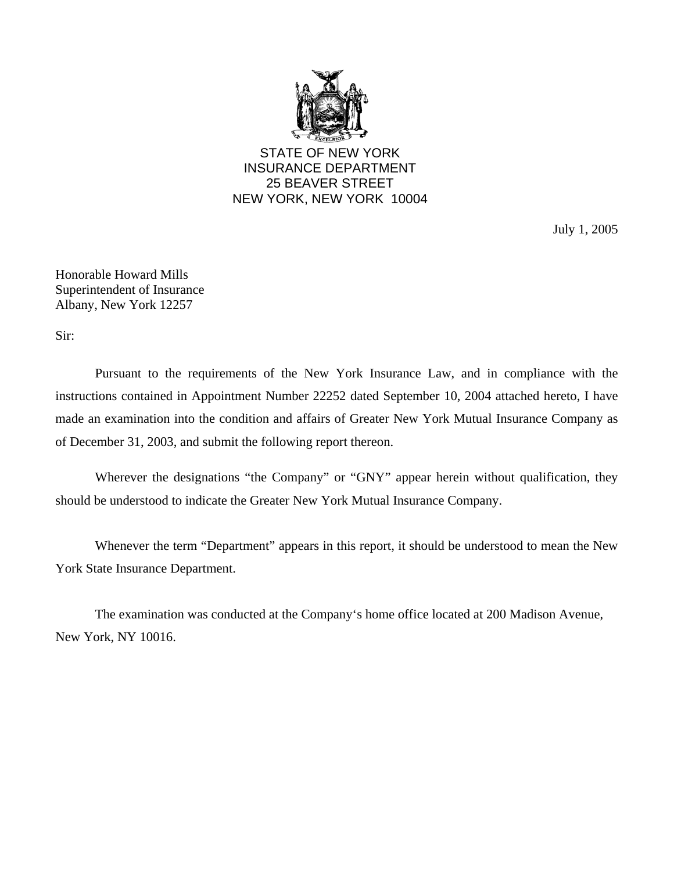

STATE OF NEW YORK INSURANCE DEPARTMENT 25 BEAVER STREET NEW YORK, NEW YORK 10004

July 1, 2005

Honorable Howard Mills Superintendent of Insurance Albany, New York 12257

Sir:

Pursuant to the requirements of the New York Insurance Law, and in compliance with the instructions contained in Appointment Number 22252 dated September 10, 2004 attached hereto, I have made an examination into the condition and affairs of Greater New York Mutual Insurance Company as of December 31, 2003, and submit the following report thereon.

Wherever the designations "the Company" or "GNY" appear herein without qualification, they should be understood to indicate the Greater New York Mutual Insurance Company.

Whenever the term "Department" appears in this report, it should be understood to mean the New York State Insurance Department.

The examination was conducted at the Company's home office located at 200 Madison Avenue, New York, NY 10016.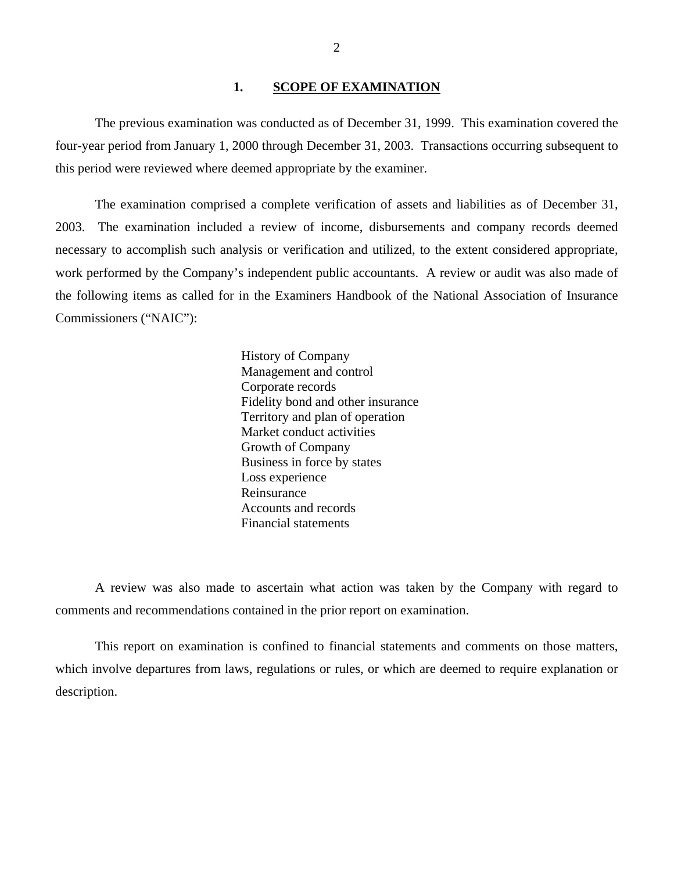### 1. **SCOPE OF EXAMINATION**

The previous examination was conducted as of December 31, 1999. This examination covered the four-year period from January 1, 2000 through December 31, 2003. Transactions occurring subsequent to this period were reviewed where deemed appropriate by the examiner.

The examination comprised a complete verification of assets and liabilities as of December 31, 2003. The examination included a review of income, disbursements and company records deemed necessary to accomplish such analysis or verification and utilized, to the extent considered appropriate, work performed by the Company's independent public accountants. A review or audit was also made of the following items as called for in the Examiners Handbook of the National Association of Insurance Commissioners ("NAIC"):

> History of Company Management and control Corporate records Fidelity bond and other insurance Territory and plan of operation Market conduct activities Growth of Company Business in force by states Loss experience Reinsurance Accounts and records Financial statements

A review was also made to ascertain what action was taken by the Company with regard to comments and recommendations contained in the prior report on examination.

This report on examination is confined to financial statements and comments on those matters, which involve departures from laws, regulations or rules, or which are deemed to require explanation or description.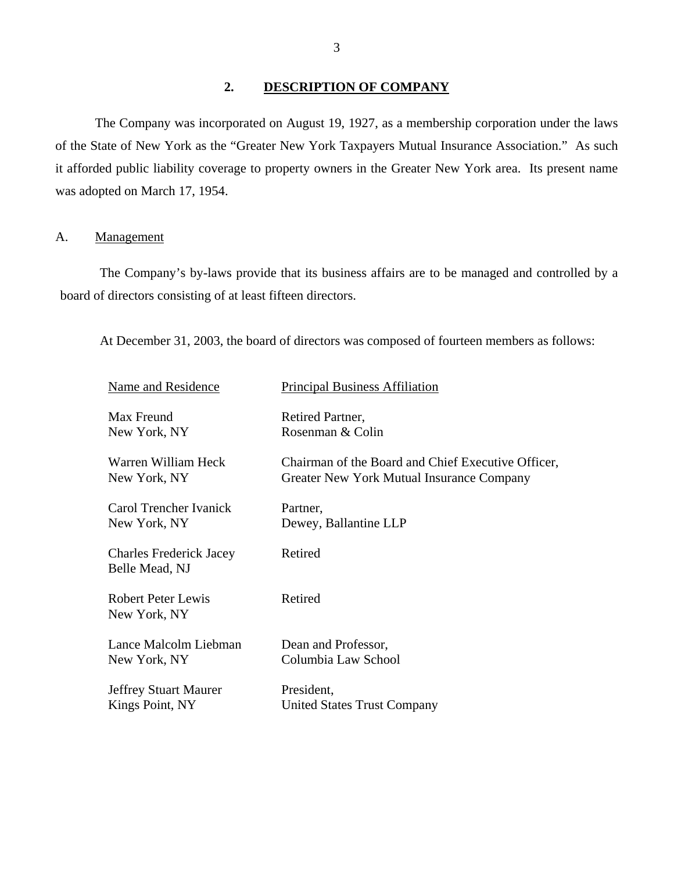## **2. DESCRIPTION OF COMPANY**

The Company was incorporated on August 19, 1927, as a membership corporation under the laws of the State of New York as the "Greater New York Taxpayers Mutual Insurance Association." As such it afforded public liability coverage to property owners in the Greater New York area. Its present name was adopted on March 17, 1954.

## A. Management

The Company's by-laws provide that its business affairs are to be managed and controlled by a board of directors consisting of at least fifteen directors.

At December 31, 2003, the board of directors was composed of fourteen members as follows:

| Name and Residence                               | <b>Principal Business Affiliation</b>              |
|--------------------------------------------------|----------------------------------------------------|
| Max Freund                                       | Retired Partner,                                   |
| New York, NY                                     | Rosenman & Colin                                   |
| Warren William Heck                              | Chairman of the Board and Chief Executive Officer, |
| New York, NY                                     | Greater New York Mutual Insurance Company          |
| Carol Trencher Ivanick                           | Partner,                                           |
| New York, NY                                     | Dewey, Ballantine LLP                              |
| <b>Charles Frederick Jacey</b><br>Belle Mead, NJ | Retired                                            |
| <b>Robert Peter Lewis</b><br>New York, NY        | Retired                                            |
| Lance Malcolm Liebman                            | Dean and Professor,                                |
| New York, NY                                     | Columbia Law School                                |
| <b>Jeffrey Stuart Maurer</b>                     | President,                                         |
| Kings Point, NY                                  | United States Trust Company                        |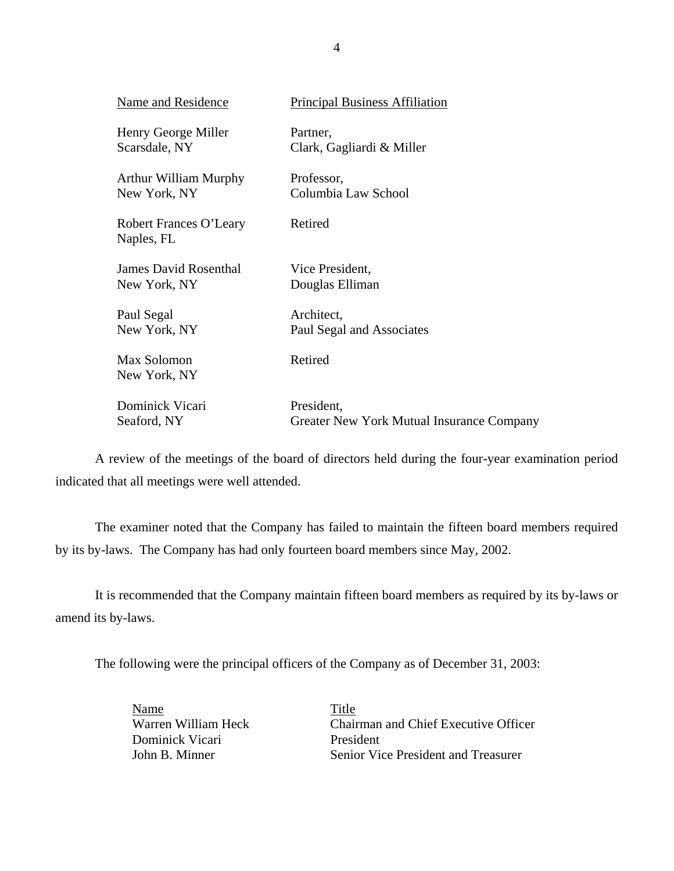| Name and Residence                   | <b>Principal Business Affiliation</b>     |
|--------------------------------------|-------------------------------------------|
| Henry George Miller                  | Partner,                                  |
| Scarsdale, NY                        | Clark, Gagliardi & Miller                 |
| <b>Arthur William Murphy</b>         | Professor,                                |
| New York, NY                         | Columbia Law School                       |
| Robert Frances O'Leary<br>Naples, FL | Retired                                   |
| <b>James David Rosenthal</b>         | Vice President,                           |
| New York, NY                         | Douglas Elliman                           |
| Paul Segal                           | Architect,                                |
| New York, NY                         | Paul Segal and Associates                 |
| Max Solomon<br>New York, NY          | Retired                                   |
| Dominick Vicari                      | President,                                |
| Seaford, NY                          | Greater New York Mutual Insurance Company |

A review of the meetings of the board of directors held during the four-year examination period indicated that all meetings were well attended.

The examiner noted that the Company has failed to maintain the fifteen board members required by its by-laws. The Company has had only fourteen board members since May, 2002.

It is recommended that the Company maintain fifteen board members as required by its by-laws or amend its by-laws.

The following were the principal officers of the Company as of December 31, 2003:

**Name**<br>
Warren William Heck

Title

Chair Dominick Vicari President

Chairman and Chief Executive Officer John B. Minner Senior Vice President and Treasurer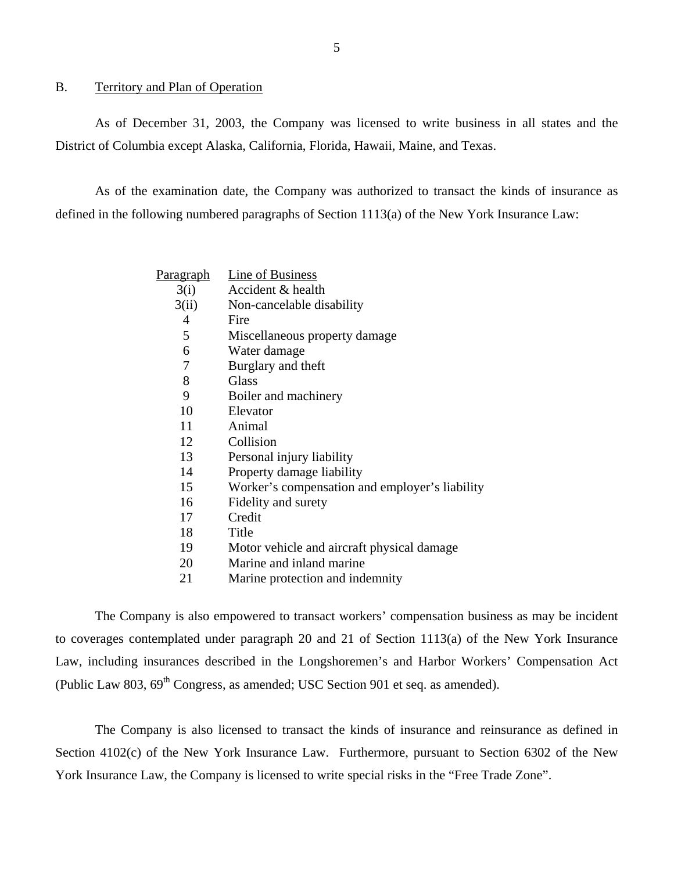### B. Territory and Plan of Operation

As of December 31, 2003, the Company was licensed to write business in all states and the District of Columbia except Alaska, California, Florida, Hawaii, Maine, and Texas.

As of the examination date, the Company was authorized to transact the kinds of insurance as defined in the following numbered paragraphs of Section 1113(a) of the New York Insurance Law:

| Paragraph | <b>Line of Business</b>                        |
|-----------|------------------------------------------------|
| 3(i)      | Accident & health                              |
| 3(ii)     | Non-cancelable disability                      |
| 4         | Fire                                           |
| 5         | Miscellaneous property damage                  |
| 6         | Water damage                                   |
| 7         | Burglary and theft                             |
| 8         | Glass                                          |
| 9         | Boiler and machinery                           |
| 10        | Elevator                                       |
| 11        | Animal                                         |
| 12        | Collision                                      |
| 13        | Personal injury liability                      |
| 14        | Property damage liability                      |
| 15        | Worker's compensation and employer's liability |
| 16        | Fidelity and surety                            |
| 17        | Credit                                         |
| 18        | Title                                          |
| 19        | Motor vehicle and aircraft physical damage     |
| 20        | Marine and inland marine                       |
| 21        | Marine protection and indemnity                |

The Company is also empowered to transact workers' compensation business as may be incident to coverages contemplated under paragraph 20 and 21 of Section 1113(a) of the New York Insurance Law, including insurances described in the Longshoremen's and Harbor Workers' Compensation Act (Public Law 803,  $69^{th}$  Congress, as amended; USC Section 901 et seq. as amended).

The Company is also licensed to transact the kinds of insurance and reinsurance as defined in Section 4102(c) of the New York Insurance Law. Furthermore, pursuant to Section 6302 of the New York Insurance Law, the Company is licensed to write special risks in the "Free Trade Zone".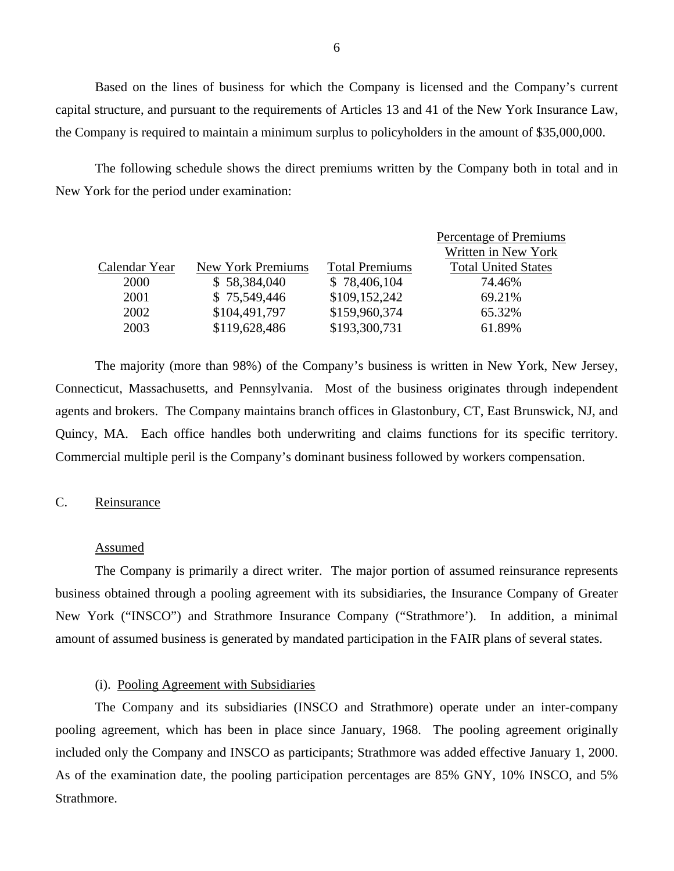Based on the lines of business for which the Company is licensed and the Company's current capital structure, and pursuant to the requirements of Articles 13 and 41 of the New York Insurance Law, the Company is required to maintain a minimum surplus to policyholders in the amount of \$35,000,000.

The following schedule shows the direct premiums written by the Company both in total and in New York for the period under examination:

|               |                   |                       | Percentage of Premiums     |
|---------------|-------------------|-----------------------|----------------------------|
|               |                   |                       | Written in New York        |
| Calendar Year | New York Premiums | <b>Total Premiums</b> | <b>Total United States</b> |
| 2000          | \$58,384,040      | \$78,406,104          | 74.46%                     |
| 2001          | \$75,549,446      | \$109,152,242         | 69.21%                     |
| 2002          | \$104,491,797     | \$159,960,374         | 65.32%                     |
| 2003          | \$119,628,486     | \$193,300,731         | 61.89%                     |
|               |                   |                       |                            |

The majority (more than 98%) of the Company's business is written in New York, New Jersey, Connecticut, Massachusetts, and Pennsylvania. Most of the business originates through independent agents and brokers. The Company maintains branch offices in Glastonbury, CT, East Brunswick, NJ, and Quincy, MA. Each office handles both underwriting and claims functions for its specific territory. Commercial multiple peril is the Company's dominant business followed by workers compensation.

### C. Reinsurance

#### Assumed

The Company is primarily a direct writer. The major portion of assumed reinsurance represents business obtained through a pooling agreement with its subsidiaries, the Insurance Company of Greater New York ("INSCO") and Strathmore Insurance Company ("Strathmore'). In addition, a minimal amount of assumed business is generated by mandated participation in the FAIR plans of several states.

### (i). Pooling Agreement with Subsidiaries

The Company and its subsidiaries (INSCO and Strathmore) operate under an inter-company pooling agreement, which has been in place since January, 1968. The pooling agreement originally included only the Company and INSCO as participants; Strathmore was added effective January 1, 2000. As of the examination date, the pooling participation percentages are 85% GNY, 10% INSCO, and 5% Strathmore.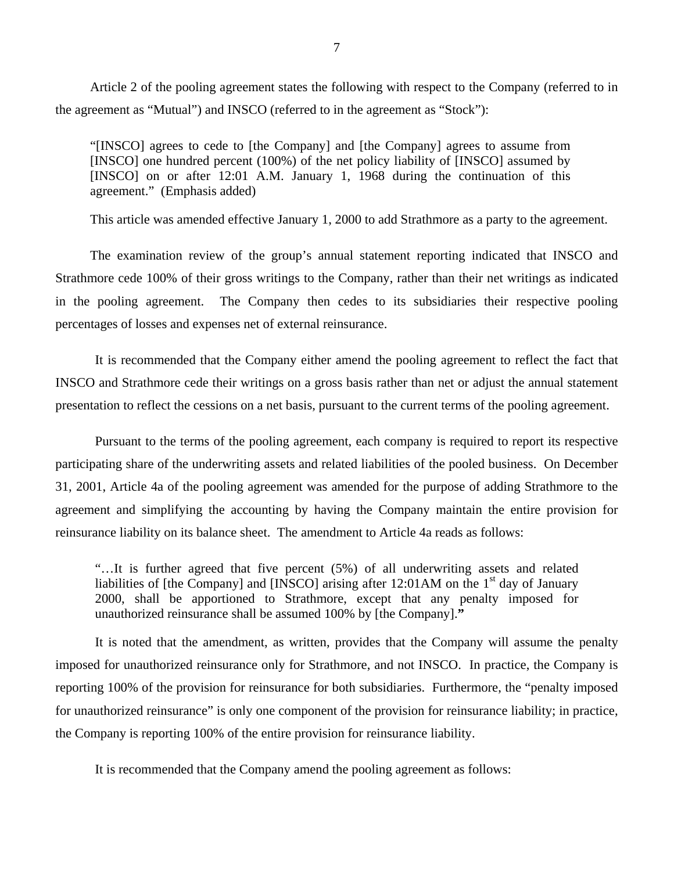Article 2 of the pooling agreement states the following with respect to the Company (referred to in the agreement as "Mutual") and INSCO (referred to in the agreement as "Stock"):

"[INSCO] agrees to cede to [the Company] and [the Company] agrees to assume from [INSCO] one hundred percent (100%) of the net policy liability of [INSCO] assumed by [INSCO] on or after 12:01 A.M. January 1, 1968 during the continuation of this agreement." (Emphasis added)

This article was amended effective January 1, 2000 to add Strathmore as a party to the agreement.

The examination review of the group's annual statement reporting indicated that INSCO and Strathmore cede 100% of their gross writings to the Company, rather than their net writings as indicated in the pooling agreement. The Company then cedes to its subsidiaries their respective pooling percentages of losses and expenses net of external reinsurance.

It is recommended that the Company either amend the pooling agreement to reflect the fact that INSCO and Strathmore cede their writings on a gross basis rather than net or adjust the annual statement presentation to reflect the cessions on a net basis, pursuant to the current terms of the pooling agreement.

Pursuant to the terms of the pooling agreement, each company is required to report its respective participating share of the underwriting assets and related liabilities of the pooled business. On December 31, 2001, Article 4a of the pooling agreement was amended for the purpose of adding Strathmore to the agreement and simplifying the accounting by having the Company maintain the entire provision for reinsurance liability on its balance sheet. The amendment to Article 4a reads as follows:

"…It is further agreed that five percent (5%) of all underwriting assets and related liabilities of [the Company] and [INSCO] arising after 12:01AM on the  $1<sup>st</sup>$  day of January 2000, shall be apportioned to Strathmore, except that any penalty imposed for unauthorized reinsurance shall be assumed 100% by [the Company].**"** 

It is noted that the amendment, as written, provides that the Company will assume the penalty imposed for unauthorized reinsurance only for Strathmore, and not INSCO. In practice, the Company is reporting 100% of the provision for reinsurance for both subsidiaries. Furthermore, the "penalty imposed for unauthorized reinsurance" is only one component of the provision for reinsurance liability; in practice, the Company is reporting 100% of the entire provision for reinsurance liability.

It is recommended that the Company amend the pooling agreement as follows: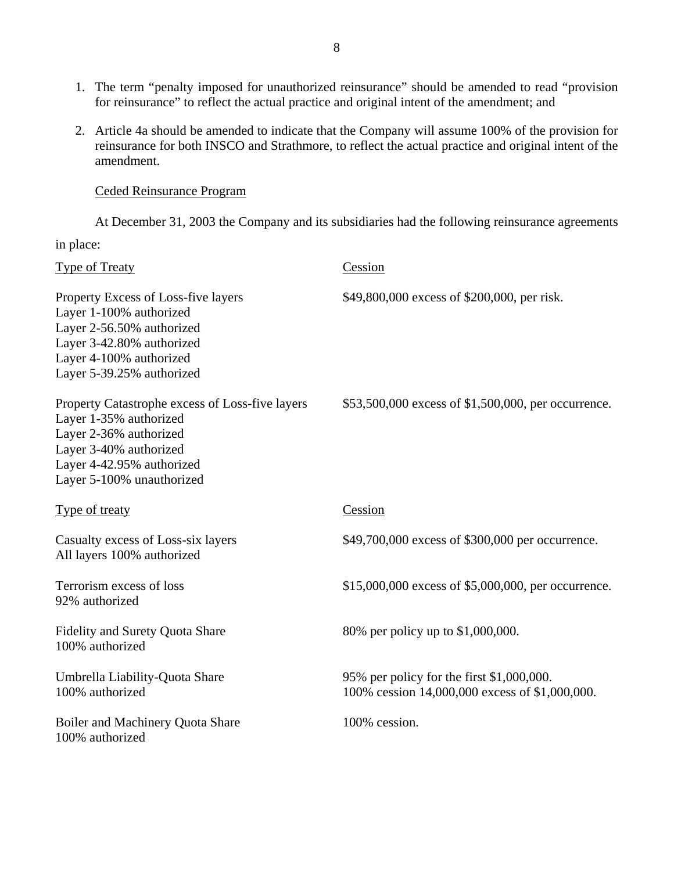- 1. The term "penalty imposed for unauthorized reinsurance" should be amended to read "provision for reinsurance" to reflect the actual practice and original intent of the amendment; and
- 2. Article 4a should be amended to indicate that the Company will assume 100% of the provision for reinsurance for both INSCO and Strathmore, to reflect the actual practice and original intent of the amendment.

Ceded Reinsurance Program

At December 31, 2003 the Company and its subsidiaries had the following reinsurance agreements

in place:

| <b>Type of Treaty</b>                                                                                                                                                                   | Cession                                                                                     |
|-----------------------------------------------------------------------------------------------------------------------------------------------------------------------------------------|---------------------------------------------------------------------------------------------|
| Property Excess of Loss-five layers<br>Layer 1-100% authorized<br>Layer 2-56.50% authorized<br>Layer 3-42.80% authorized<br>Layer 4-100% authorized<br>Layer 5-39.25% authorized        | \$49,800,000 excess of \$200,000, per risk.                                                 |
| Property Catastrophe excess of Loss-five layers<br>Layer 1-35% authorized<br>Layer 2-36% authorized<br>Layer 3-40% authorized<br>Layer 4-42.95% authorized<br>Layer 5-100% unauthorized | \$53,500,000 excess of \$1,500,000, per occurrence.                                         |
| Type of treaty                                                                                                                                                                          | Cession                                                                                     |
| Casualty excess of Loss-six layers<br>All layers 100% authorized                                                                                                                        | \$49,700,000 excess of \$300,000 per occurrence.                                            |
| Terrorism excess of loss<br>92% authorized                                                                                                                                              | \$15,000,000 excess of \$5,000,000, per occurrence.                                         |
| <b>Fidelity and Surety Quota Share</b><br>100% authorized                                                                                                                               | 80% per policy up to \$1,000,000.                                                           |
| Umbrella Liability-Quota Share<br>100% authorized                                                                                                                                       | 95% per policy for the first \$1,000,000.<br>100% cession 14,000,000 excess of \$1,000,000. |
| Boiler and Machinery Quota Share<br>100% authorized                                                                                                                                     | 100% cession.                                                                               |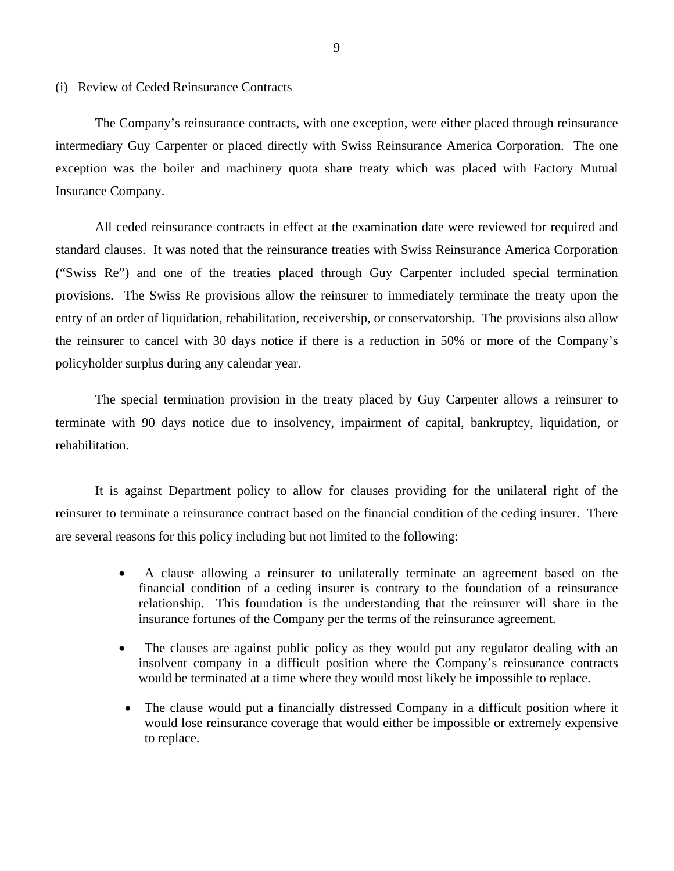## (i) Review of Ceded Reinsurance Contracts

The Company's reinsurance contracts, with one exception, were either placed through reinsurance intermediary Guy Carpenter or placed directly with Swiss Reinsurance America Corporation. The one exception was the boiler and machinery quota share treaty which was placed with Factory Mutual Insurance Company.

All ceded reinsurance contracts in effect at the examination date were reviewed for required and standard clauses. It was noted that the reinsurance treaties with Swiss Reinsurance America Corporation ("Swiss Re") and one of the treaties placed through Guy Carpenter included special termination provisions. The Swiss Re provisions allow the reinsurer to immediately terminate the treaty upon the entry of an order of liquidation, rehabilitation, receivership, or conservatorship. The provisions also allow the reinsurer to cancel with 30 days notice if there is a reduction in 50% or more of the Company's policyholder surplus during any calendar year.

The special termination provision in the treaty placed by Guy Carpenter allows a reinsurer to terminate with 90 days notice due to insolvency, impairment of capital, bankruptcy, liquidation, or rehabilitation.

It is against Department policy to allow for clauses providing for the unilateral right of the reinsurer to terminate a reinsurance contract based on the financial condition of the ceding insurer. There are several reasons for this policy including but not limited to the following:

- A clause allowing a reinsurer to unilaterally terminate an agreement based on the financial condition of a ceding insurer is contrary to the foundation of a reinsurance relationship. This foundation is the understanding that the reinsurer will share in the insurance fortunes of the Company per the terms of the reinsurance agreement.
- The clauses are against public policy as they would put any regulator dealing with an insolvent company in a difficult position where the Company's reinsurance contracts would be terminated at a time where they would most likely be impossible to replace.
- The clause would put a financially distressed Company in a difficult position where it would lose reinsurance coverage that would either be impossible or extremely expensive to replace.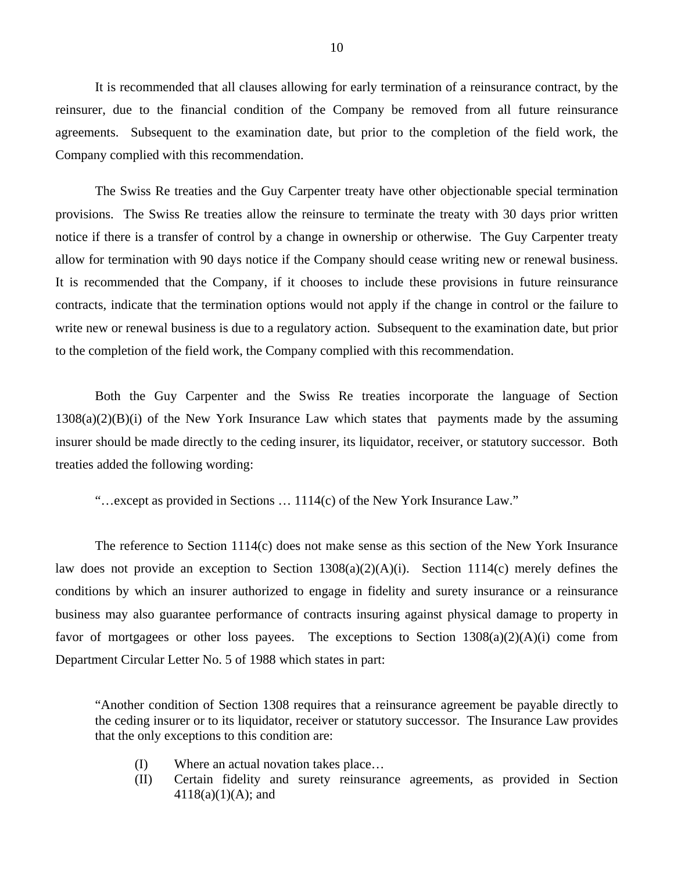It is recommended that all clauses allowing for early termination of a reinsurance contract, by the reinsurer, due to the financial condition of the Company be removed from all future reinsurance agreements. Subsequent to the examination date, but prior to the completion of the field work, the Company complied with this recommendation.

The Swiss Re treaties and the Guy Carpenter treaty have other objectionable special termination provisions. The Swiss Re treaties allow the reinsure to terminate the treaty with 30 days prior written notice if there is a transfer of control by a change in ownership or otherwise. The Guy Carpenter treaty allow for termination with 90 days notice if the Company should cease writing new or renewal business. It is recommended that the Company, if it chooses to include these provisions in future reinsurance contracts, indicate that the termination options would not apply if the change in control or the failure to write new or renewal business is due to a regulatory action. Subsequent to the examination date, but prior to the completion of the field work, the Company complied with this recommendation.

Both the Guy Carpenter and the Swiss Re treaties incorporate the language of Section  $1308(a)(2)(B)(i)$  of the New York Insurance Law which states that payments made by the assuming insurer should be made directly to the ceding insurer, its liquidator, receiver, or statutory successor. Both treaties added the following wording:

"…except as provided in Sections … 1114(c) of the New York Insurance Law."

The reference to Section 1114(c) does not make sense as this section of the New York Insurance law does not provide an exception to Section 1308(a)(2)(A)(i). Section 1114(c) merely defines the conditions by which an insurer authorized to engage in fidelity and surety insurance or a reinsurance business may also guarantee performance of contracts insuring against physical damage to property in favor of mortgagees or other loss payees. The exceptions to Section  $1308(a)(2)(A)(i)$  come from Department Circular Letter No. 5 of 1988 which states in part:

"Another condition of Section 1308 requires that a reinsurance agreement be payable directly to the ceding insurer or to its liquidator, receiver or statutory successor. The Insurance Law provides that the only exceptions to this condition are:

- (I) Where an actual novation takes place…
- (II) Certain fidelity and surety reinsurance agreements, as provided in Section  $4118(a)(1)(A)$ ; and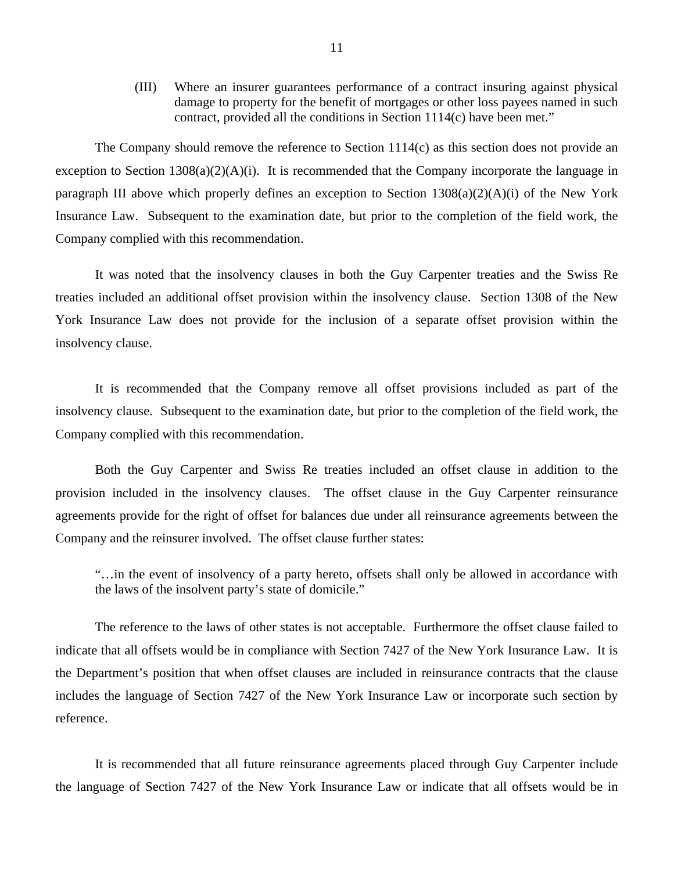(III) Where an insurer guarantees performance of a contract insuring against physical damage to property for the benefit of mortgages or other loss payees named in such contract, provided all the conditions in Section 1114(c) have been met."

The Company should remove the reference to Section 1114(c) as this section does not provide an exception to Section  $1308(a)(2)(A)(i)$ . It is recommended that the Company incorporate the language in paragraph III above which properly defines an exception to Section 1308(a)(2)(A)(i) of the New York Insurance Law. Subsequent to the examination date, but prior to the completion of the field work, the Company complied with this recommendation.

It was noted that the insolvency clauses in both the Guy Carpenter treaties and the Swiss Re treaties included an additional offset provision within the insolvency clause. Section 1308 of the New York Insurance Law does not provide for the inclusion of a separate offset provision within the insolvency clause.

It is recommended that the Company remove all offset provisions included as part of the insolvency clause. Subsequent to the examination date, but prior to the completion of the field work, the Company complied with this recommendation.

Both the Guy Carpenter and Swiss Re treaties included an offset clause in addition to the provision included in the insolvency clauses. The offset clause in the Guy Carpenter reinsurance agreements provide for the right of offset for balances due under all reinsurance agreements between the Company and the reinsurer involved. The offset clause further states:

"…in the event of insolvency of a party hereto, offsets shall only be allowed in accordance with the laws of the insolvent party's state of domicile."

The reference to the laws of other states is not acceptable. Furthermore the offset clause failed to indicate that all offsets would be in compliance with Section 7427 of the New York Insurance Law. It is the Department's position that when offset clauses are included in reinsurance contracts that the clause includes the language of Section 7427 of the New York Insurance Law or incorporate such section by reference.

It is recommended that all future reinsurance agreements placed through Guy Carpenter include the language of Section 7427 of the New York Insurance Law or indicate that all offsets would be in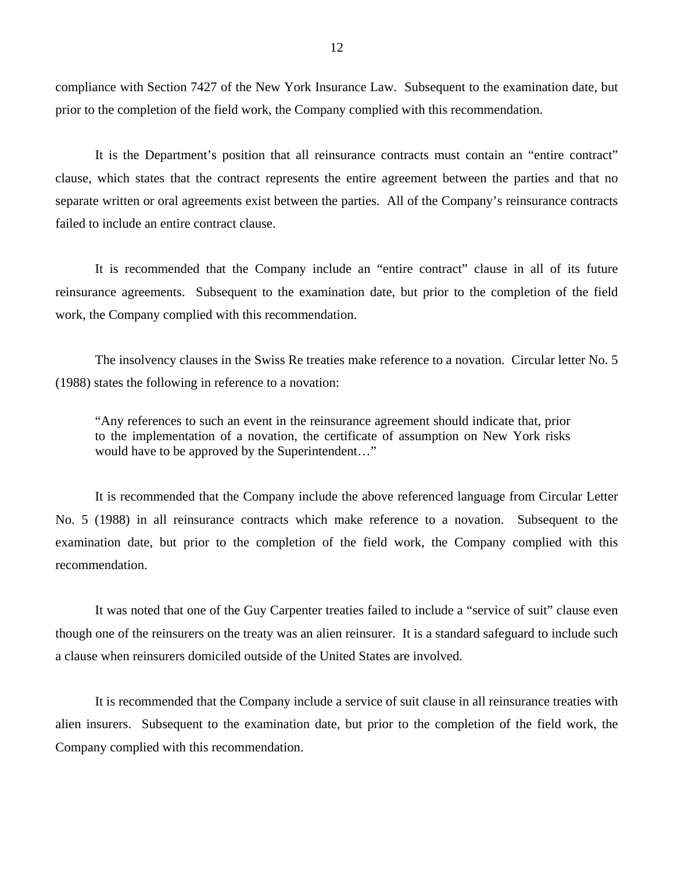compliance with Section 7427 of the New York Insurance Law. Subsequent to the examination date, but prior to the completion of the field work, the Company complied with this recommendation.

It is the Department's position that all reinsurance contracts must contain an "entire contract" clause, which states that the contract represents the entire agreement between the parties and that no separate written or oral agreements exist between the parties. All of the Company's reinsurance contracts failed to include an entire contract clause.

It is recommended that the Company include an "entire contract" clause in all of its future reinsurance agreements. Subsequent to the examination date, but prior to the completion of the field work, the Company complied with this recommendation.

The insolvency clauses in the Swiss Re treaties make reference to a novation. Circular letter No. 5 (1988) states the following in reference to a novation:

"Any references to such an event in the reinsurance agreement should indicate that, prior to the implementation of a novation, the certificate of assumption on New York risks would have to be approved by the Superintendent…"

It is recommended that the Company include the above referenced language from Circular Letter No. 5 (1988) in all reinsurance contracts which make reference to a novation. Subsequent to the examination date, but prior to the completion of the field work, the Company complied with this recommendation.

It was noted that one of the Guy Carpenter treaties failed to include a "service of suit" clause even though one of the reinsurers on the treaty was an alien reinsurer. It is a standard safeguard to include such a clause when reinsurers domiciled outside of the United States are involved.

It is recommended that the Company include a service of suit clause in all reinsurance treaties with alien insurers. Subsequent to the examination date, but prior to the completion of the field work, the Company complied with this recommendation.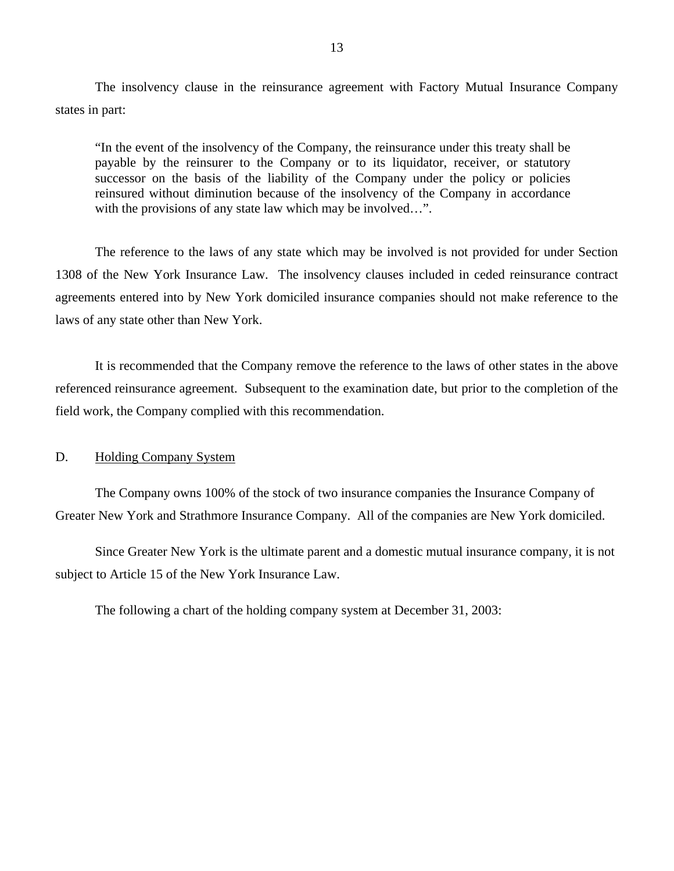The insolvency clause in the reinsurance agreement with Factory Mutual Insurance Company states in part:

"In the event of the insolvency of the Company, the reinsurance under this treaty shall be payable by the reinsurer to the Company or to its liquidator, receiver, or statutory successor on the basis of the liability of the Company under the policy or policies reinsured without diminution because of the insolvency of the Company in accordance with the provisions of any state law which may be involved...".

The reference to the laws of any state which may be involved is not provided for under Section 1308 of the New York Insurance Law. The insolvency clauses included in ceded reinsurance contract agreements entered into by New York domiciled insurance companies should not make reference to the laws of any state other than New York.

It is recommended that the Company remove the reference to the laws of other states in the above referenced reinsurance agreement. Subsequent to the examination date, but prior to the completion of the field work, the Company complied with this recommendation.

## D. Holding Company System

The Company owns 100% of the stock of two insurance companies the Insurance Company of Greater New York and Strathmore Insurance Company. All of the companies are New York domiciled.

Since Greater New York is the ultimate parent and a domestic mutual insurance company, it is not subject to Article 15 of the New York Insurance Law.

The following a chart of the holding company system at December 31, 2003: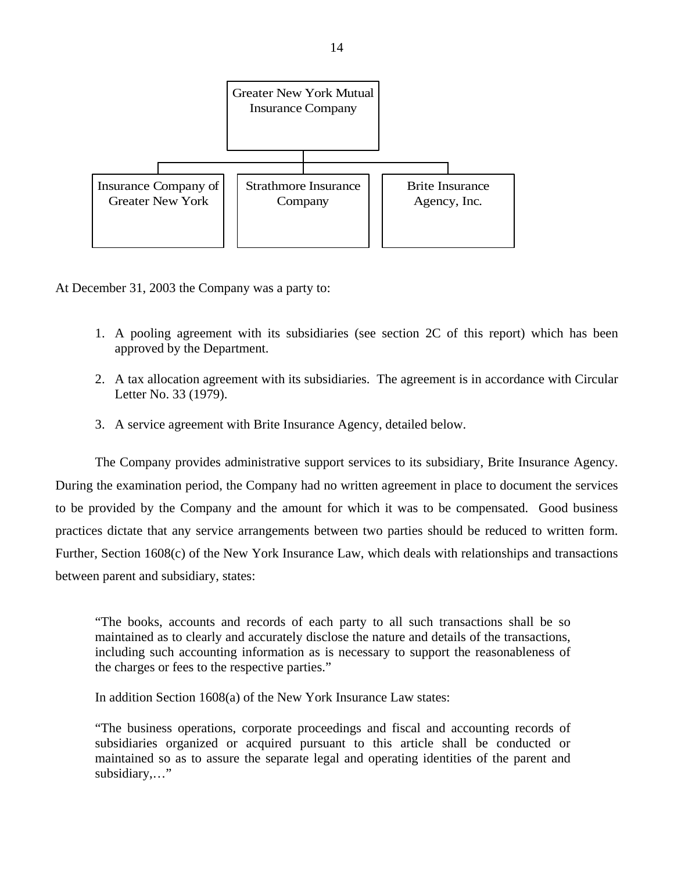

At December 31, 2003 the Company was a party to:

- 1. A pooling agreement with its subsidiaries (see section 2C of this report) which has been approved by the Department.
- 2. A tax allocation agreement with its subsidiaries. The agreement is in accordance with Circular Letter No. 33 (1979).
- 3. A service agreement with Brite Insurance Agency, detailed below.

The Company provides administrative support services to its subsidiary, Brite Insurance Agency. During the examination period, the Company had no written agreement in place to document the services to be provided by the Company and the amount for which it was to be compensated. Good business practices dictate that any service arrangements between two parties should be reduced to written form. Further, Section 1608(c) of the New York Insurance Law, which deals with relationships and transactions between parent and subsidiary, states:

"The books, accounts and records of each party to all such transactions shall be so maintained as to clearly and accurately disclose the nature and details of the transactions, including such accounting information as is necessary to support the reasonableness of the charges or fees to the respective parties."

In addition Section 1608(a) of the New York Insurance Law states:

"The business operations, corporate proceedings and fiscal and accounting records of subsidiaries organized or acquired pursuant to this article shall be conducted or maintained so as to assure the separate legal and operating identities of the parent and subsidiary,…"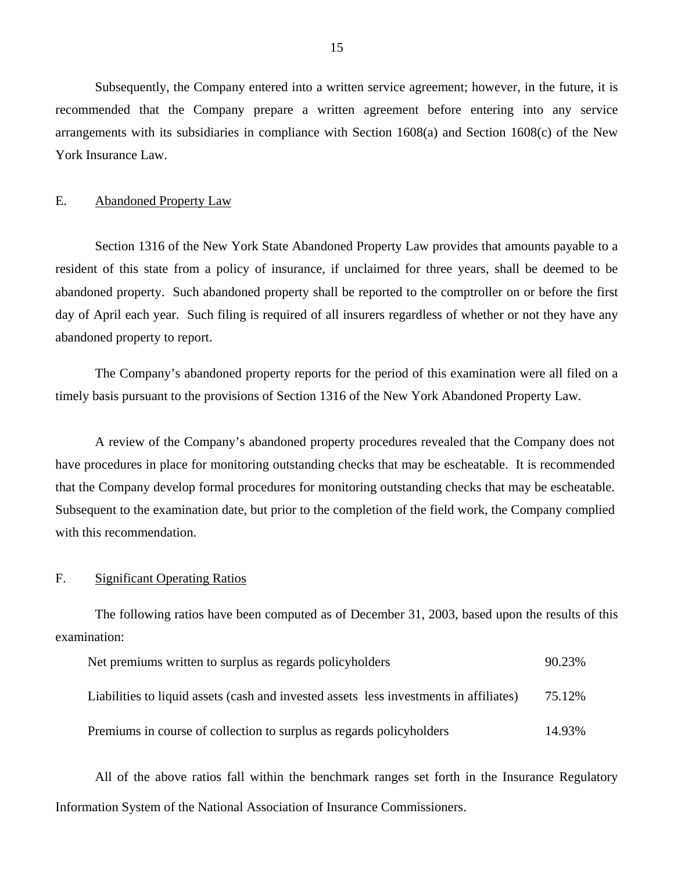Subsequently, the Company entered into a written service agreement; however, in the future, it is recommended that the Company prepare a written agreement before entering into any service arrangements with its subsidiaries in compliance with Section 1608(a) and Section 1608(c) of the New York Insurance Law.

### E. Abandoned Property Law

Section 1316 of the New York State Abandoned Property Law provides that amounts payable to a resident of this state from a policy of insurance, if unclaimed for three years, shall be deemed to be abandoned property. Such abandoned property shall be reported to the comptroller on or before the first day of April each year. Such filing is required of all insurers regardless of whether or not they have any abandoned property to report.

The Company's abandoned property reports for the period of this examination were all filed on a timely basis pursuant to the provisions of Section 1316 of the New York Abandoned Property Law.

A review of the Company's abandoned property procedures revealed that the Company does not have procedures in place for monitoring outstanding checks that may be escheatable. It is recommended that the Company develop formal procedures for monitoring outstanding checks that may be escheatable. Subsequent to the examination date, but prior to the completion of the field work, the Company complied with this recommendation.

## F. Significant Operating Ratios

The following ratios have been computed as of December 31, 2003, based upon the results of this examination:

| Net premiums written to surplus as regards policyholders                               | 90.23% |
|----------------------------------------------------------------------------------------|--------|
| Liabilities to liquid assets (cash and invested assets less investments in affiliates) | 75.12% |
| Premiums in course of collection to surplus as regards policyholders                   | 14.93% |

All of the above ratios fall within the benchmark ranges set forth in the Insurance Regulatory Information System of the National Association of Insurance Commissioners.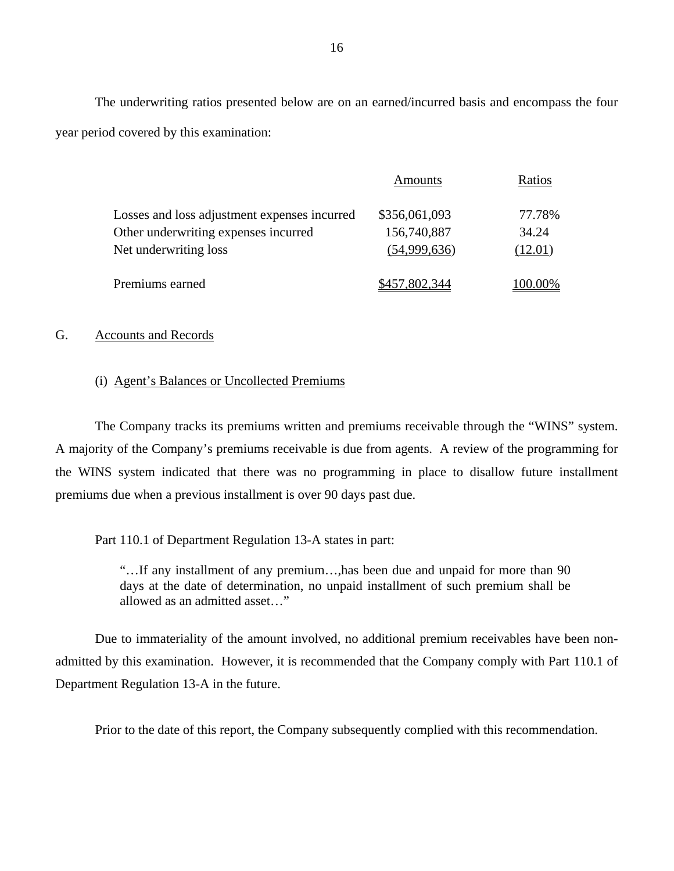The underwriting ratios presented below are on an earned/incurred basis and encompass the four year period covered by this examination:

|                                              | Amounts       | Ratios    |
|----------------------------------------------|---------------|-----------|
| Losses and loss adjustment expenses incurred | \$356,061,093 | 77.78%    |
| Other underwriting expenses incurred         | 156,740,887   | 34.24     |
| Net underwriting loss                        | (54,999,636)  | (12.01)   |
| Premiums earned                              | \$457,802,344 | $00.00\%$ |

## G. Accounts and Records

## (i) Agent's Balances or Uncollected Premiums

The Company tracks its premiums written and premiums receivable through the "WINS" system. A majority of the Company's premiums receivable is due from agents. A review of the programming for the WINS system indicated that there was no programming in place to disallow future installment premiums due when a previous installment is over 90 days past due.

Part 110.1 of Department Regulation 13-A states in part:

"…If any installment of any premium…,has been due and unpaid for more than 90 days at the date of determination, no unpaid installment of such premium shall be allowed as an admitted asset…"

Due to immateriality of the amount involved, no additional premium receivables have been nonadmitted by this examination. However, it is recommended that the Company comply with Part 110.1 of Department Regulation 13-A in the future.

Prior to the date of this report, the Company subsequently complied with this recommendation.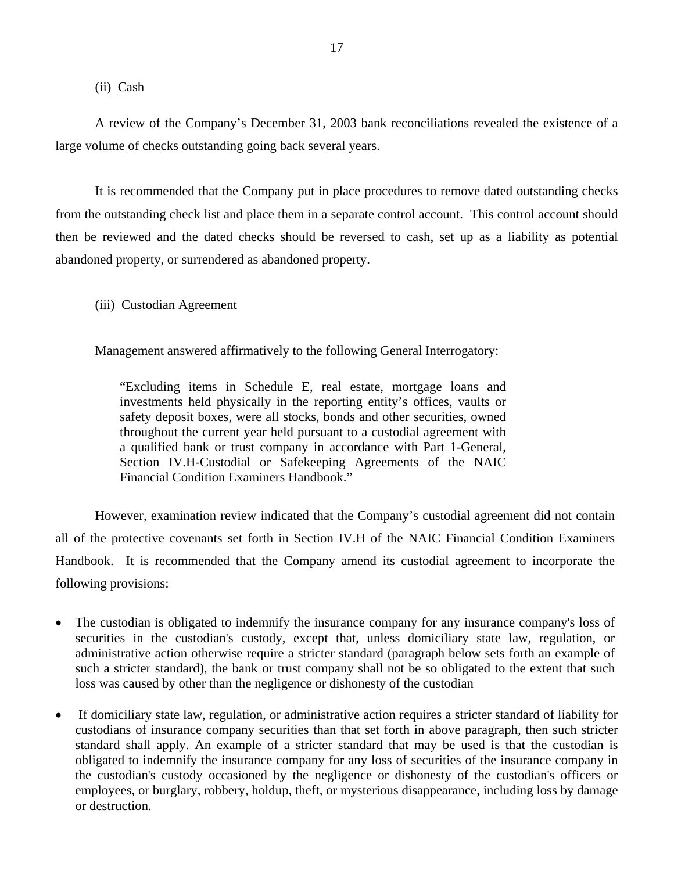## (ii) Cash

A review of the Company's December 31, 2003 bank reconciliations revealed the existence of a large volume of checks outstanding going back several years.

It is recommended that the Company put in place procedures to remove dated outstanding checks from the outstanding check list and place them in a separate control account. This control account should then be reviewed and the dated checks should be reversed to cash, set up as a liability as potential abandoned property, or surrendered as abandoned property.

## (iii) Custodian Agreement

Management answered affirmatively to the following General Interrogatory:

"Excluding items in Schedule E, real estate, mortgage loans and investments held physically in the reporting entity's offices, vaults or safety deposit boxes, were all stocks, bonds and other securities, owned throughout the current year held pursuant to a custodial agreement with a qualified bank or trust company in accordance with Part 1-General, Section IV.H-Custodial or Safekeeping Agreements of the NAIC Financial Condition Examiners Handbook."

However, examination review indicated that the Company's custodial agreement did not contain all of the protective covenants set forth in Section IV.H of the NAIC Financial Condition Examiners Handbook. It is recommended that the Company amend its custodial agreement to incorporate the following provisions:

- The custodian is obligated to indemnify the insurance company for any insurance company's loss of securities in the custodian's custody, except that, unless domiciliary state law, regulation, or administrative action otherwise require a stricter standard (paragraph below sets forth an example of such a stricter standard), the bank or trust company shall not be so obligated to the extent that such loss was caused by other than the negligence or dishonesty of the custodian
- If domiciliary state law, regulation, or administrative action requires a stricter standard of liability for custodians of insurance company securities than that set forth in above paragraph, then such stricter standard shall apply. An example of a stricter standard that may be used is that the custodian is obligated to indemnify the insurance company for any loss of securities of the insurance company in the custodian's custody occasioned by the negligence or dishonesty of the custodian's officers or employees, or burglary, robbery, holdup, theft, or mysterious disappearance, including loss by damage or destruction.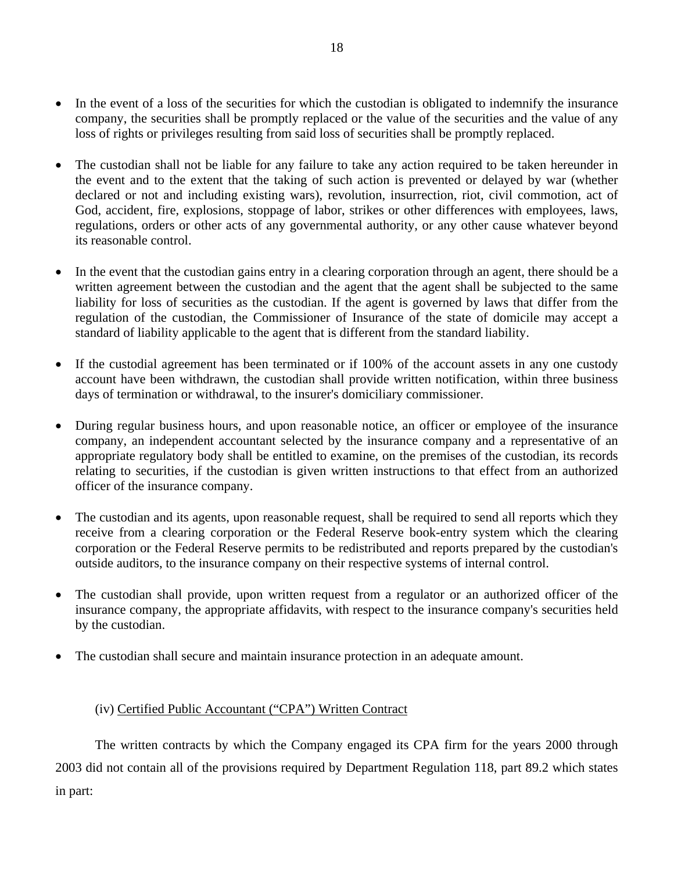- In the event of a loss of the securities for which the custodian is obligated to indemnify the insurance company, the securities shall be promptly replaced or the value of the securities and the value of any loss of rights or privileges resulting from said loss of securities shall be promptly replaced.
- The custodian shall not be liable for any failure to take any action required to be taken hereunder in the event and to the extent that the taking of such action is prevented or delayed by war (whether declared or not and including existing wars), revolution, insurrection, riot, civil commotion, act of God, accident, fire, explosions, stoppage of labor, strikes or other differences with employees, laws, regulations, orders or other acts of any governmental authority, or any other cause whatever beyond its reasonable control.
- In the event that the custodian gains entry in a clearing corporation through an agent, there should be a written agreement between the custodian and the agent that the agent shall be subjected to the same liability for loss of securities as the custodian. If the agent is governed by laws that differ from the regulation of the custodian, the Commissioner of Insurance of the state of domicile may accept a standard of liability applicable to the agent that is different from the standard liability.
- If the custodial agreement has been terminated or if 100% of the account assets in any one custody account have been withdrawn, the custodian shall provide written notification, within three business days of termination or withdrawal, to the insurer's domiciliary commissioner.
- During regular business hours, and upon reasonable notice, an officer or employee of the insurance company, an independent accountant selected by the insurance company and a representative of an appropriate regulatory body shall be entitled to examine, on the premises of the custodian, its records relating to securities, if the custodian is given written instructions to that effect from an authorized officer of the insurance company.
- The custodian and its agents, upon reasonable request, shall be required to send all reports which they receive from a clearing corporation or the Federal Reserve book-entry system which the clearing corporation or the Federal Reserve permits to be redistributed and reports prepared by the custodian's outside auditors, to the insurance company on their respective systems of internal control.
- The custodian shall provide, upon written request from a regulator or an authorized officer of the insurance company, the appropriate affidavits, with respect to the insurance company's securities held by the custodian.
- The custodian shall secure and maintain insurance protection in an adequate amount.

# (iv) Certified Public Accountant ("CPA") Written Contract

The written contracts by which the Company engaged its CPA firm for the years 2000 through 2003 did not contain all of the provisions required by Department Regulation 118, part 89.2 which states in part: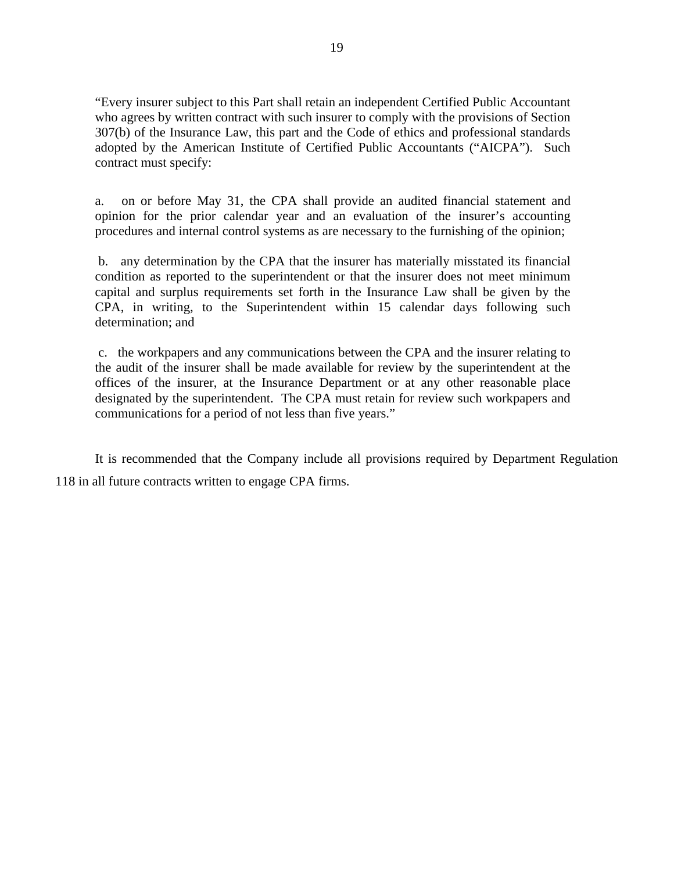"Every insurer subject to this Part shall retain an independent Certified Public Accountant who agrees by written contract with such insurer to comply with the provisions of Section 307(b) of the Insurance Law, this part and the Code of ethics and professional standards adopted by the American Institute of Certified Public Accountants ("AICPA"). Such contract must specify:

a. on or before May 31, the CPA shall provide an audited financial statement and opinion for the prior calendar year and an evaluation of the insurer's accounting procedures and internal control systems as are necessary to the furnishing of the opinion;

b. any determination by the CPA that the insurer has materially misstated its financial condition as reported to the superintendent or that the insurer does not meet minimum capital and surplus requirements set forth in the Insurance Law shall be given by the CPA, in writing, to the Superintendent within 15 calendar days following such determination; and

c. the workpapers and any communications between the CPA and the insurer relating to the audit of the insurer shall be made available for review by the superintendent at the offices of the insurer, at the Insurance Department or at any other reasonable place designated by the superintendent. The CPA must retain for review such workpapers and communications for a period of not less than five years."

It is recommended that the Company include all provisions required by Department Regulation 118 in all future contracts written to engage CPA firms.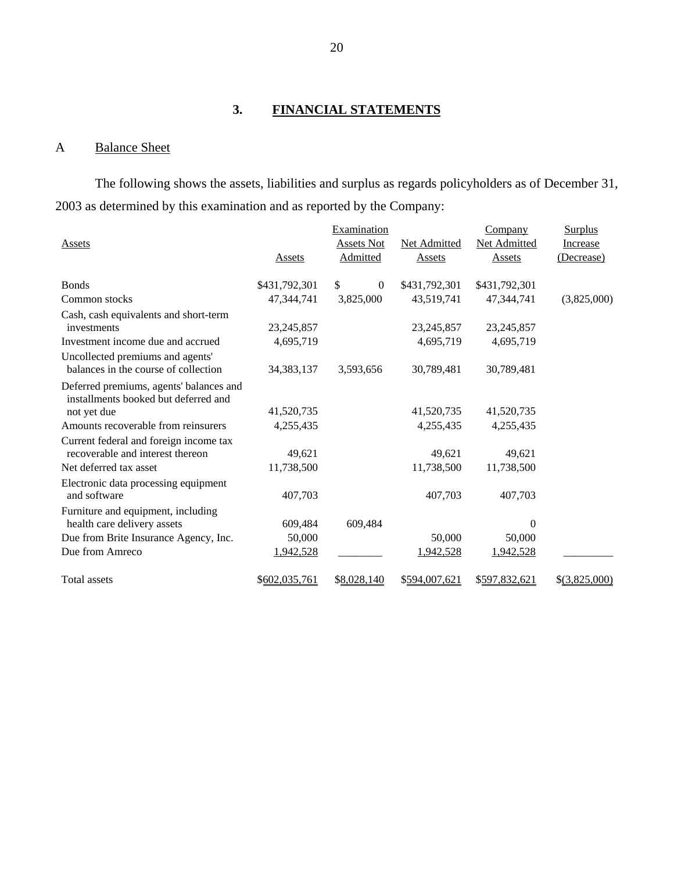# **3. FINANCIAL STATEMENTS**

# A Balance Sheet

The following shows the assets, liabilities and surplus as regards policyholders as of December 31, 2003 as determined by this examination and as reported by the Company:

|                                                                                 |               | Examination       |               | <b>Company</b> | <b>Surplus</b>  |
|---------------------------------------------------------------------------------|---------------|-------------------|---------------|----------------|-----------------|
| Assets                                                                          |               | <b>Assets Not</b> | Net Admitted  | Net Admitted   | Increase        |
|                                                                                 | Assets        | Admitted          | <b>Assets</b> | Assets         | (Decrease)      |
| <b>Bonds</b>                                                                    | \$431,792,301 | \$<br>$\theta$    | \$431,792,301 | \$431,792,301  |                 |
| Common stocks                                                                   | 47,344,741    | 3,825,000         | 43,519,741    | 47,344,741     | (3,825,000)     |
| Cash, cash equivalents and short-term<br>investments                            | 23, 245, 857  |                   | 23, 245, 857  | 23, 245, 857   |                 |
| Investment income due and accrued                                               | 4,695,719     |                   | 4,695,719     | 4,695,719      |                 |
| Uncollected premiums and agents'<br>balances in the course of collection        | 34, 383, 137  | 3,593,656         | 30,789,481    | 30,789,481     |                 |
| Deferred premiums, agents' balances and<br>installments booked but deferred and |               |                   |               |                |                 |
| not yet due                                                                     | 41,520,735    |                   | 41,520,735    | 41,520,735     |                 |
| Amounts recoverable from reinsurers                                             | 4,255,435     |                   | 4,255,435     | 4,255,435      |                 |
| Current federal and foreign income tax<br>recoverable and interest thereon      | 49,621        |                   | 49,621        | 49,621         |                 |
| Net deferred tax asset                                                          | 11,738,500    |                   | 11,738,500    | 11,738,500     |                 |
| Electronic data processing equipment<br>and software                            | 407,703       |                   | 407,703       | 407,703        |                 |
| Furniture and equipment, including<br>health care delivery assets               | 609,484       | 609,484           |               | $\Omega$       |                 |
| Due from Brite Insurance Agency, Inc.                                           | 50,000        |                   | 50,000        | 50,000         |                 |
| Due from Amreco                                                                 | 1,942,528     |                   | 1,942,528     | 1,942,528      |                 |
| <b>Total assets</b>                                                             | \$602,035,761 | \$8,028,140       | \$594,007,621 | \$597,832,621  | $$$ (3,825,000) |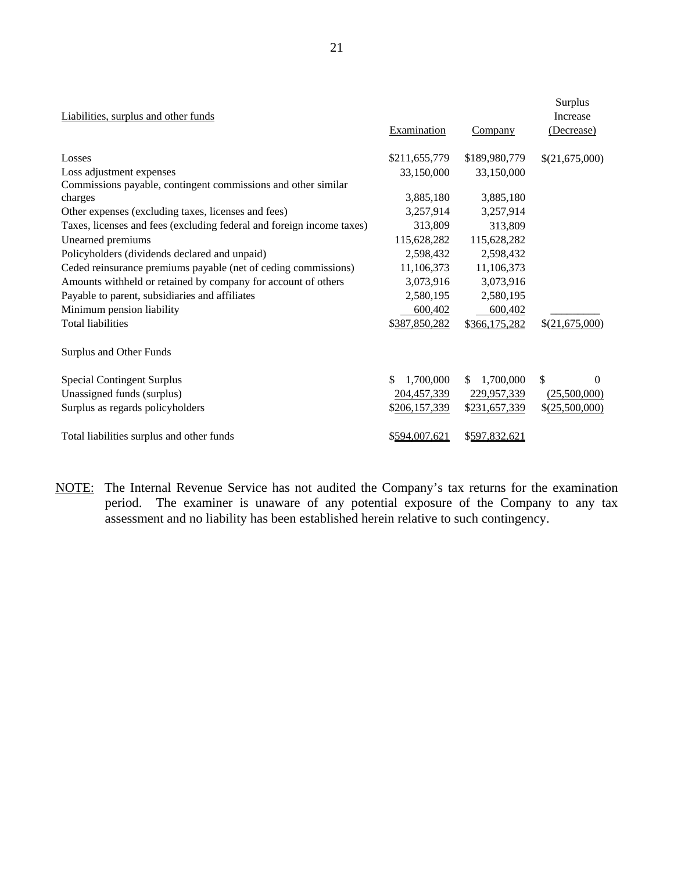| Liabilities, surplus and other funds                                  |                 |               | Surplus<br>Increase |
|-----------------------------------------------------------------------|-----------------|---------------|---------------------|
|                                                                       | Examination     | Company       | (Decrease)          |
| Losses                                                                | \$211,655,779   | \$189,980,779 | \$(21,675,000)      |
| Loss adjustment expenses                                              | 33,150,000      | 33,150,000    |                     |
| Commissions payable, contingent commissions and other similar         |                 |               |                     |
| charges                                                               | 3,885,180       | 3,885,180     |                     |
| Other expenses (excluding taxes, licenses and fees)                   | 3,257,914       | 3,257,914     |                     |
| Taxes, licenses and fees (excluding federal and foreign income taxes) | 313,809         | 313,809       |                     |
| Unearned premiums                                                     | 115,628,282     | 115,628,282   |                     |
| Policyholders (dividends declared and unpaid)                         | 2,598,432       | 2,598,432     |                     |
| Ceded reinsurance premiums payable (net of ceding commissions)        | 11,106,373      | 11,106,373    |                     |
| Amounts withheld or retained by company for account of others         | 3,073,916       | 3,073,916     |                     |
| Payable to parent, subsidiaries and affiliates                        | 2,580,195       | 2,580,195     |                     |
| Minimum pension liability                                             | 600,402         | 600,402       |                     |
| <b>Total liabilities</b>                                              | \$387,850,282   | \$366,175,282 | \$(21,675,000)      |
| Surplus and Other Funds                                               |                 |               |                     |
| <b>Special Contingent Surplus</b>                                     | \$<br>1,700,000 | 1,700,000     | \$<br>$\Omega$      |
| Unassigned funds (surplus)                                            | 204,457,339     | 229,957,339   | (25,500,000)        |
| Surplus as regards policyholders                                      | \$206,157,339   | \$231,657,339 | \$ (25,500,000)     |
| Total liabilities surplus and other funds                             | \$594,007,621   | \$597,832,621 |                     |

NOTE: The Internal Revenue Service has not audited the Company's tax returns for the examination period. The examiner is unaware of any potential exposure of the Company to any tax assessment and no liability has been established herein relative to such contingency.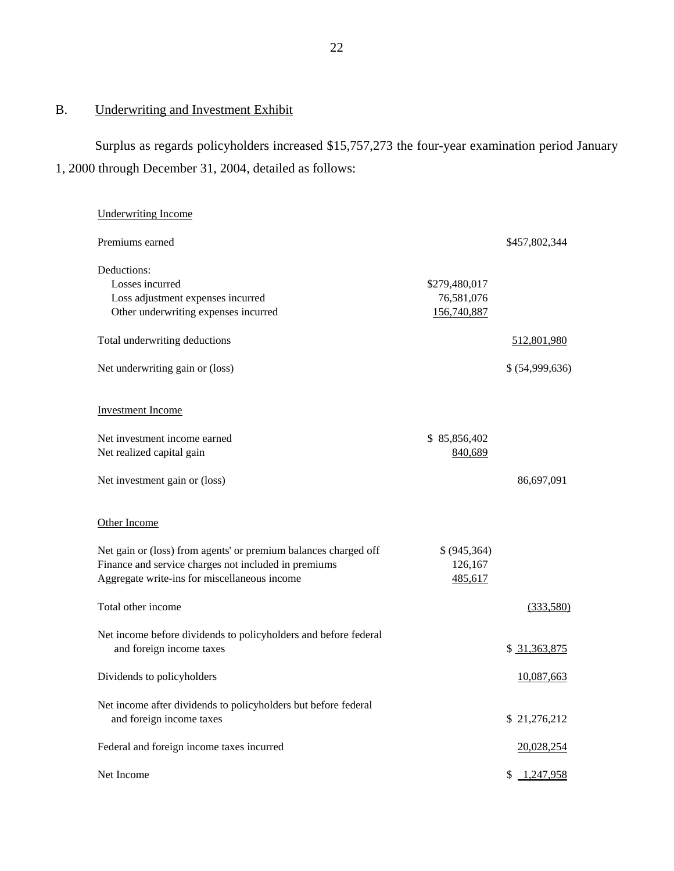# B. Underwriting and Investment Exhibit

Surplus as regards policyholders increased \$15,757,273 the four-year examination period January 1, 2000 through December 31, 2004, detailed as follows:

| <b>Underwriting Income</b>                                                                                                                                              |                                            |                 |
|-------------------------------------------------------------------------------------------------------------------------------------------------------------------------|--------------------------------------------|-----------------|
| Premiums earned                                                                                                                                                         |                                            | \$457,802,344   |
| Deductions:<br>Losses incurred<br>Loss adjustment expenses incurred<br>Other underwriting expenses incurred                                                             | \$279,480,017<br>76,581,076<br>156,740,887 |                 |
| Total underwriting deductions                                                                                                                                           |                                            | 512,801,980     |
| Net underwriting gain or (loss)                                                                                                                                         |                                            | \$ (54,999,636) |
| <b>Investment Income</b><br>Net investment income earned                                                                                                                | \$85,856,402                               |                 |
| Net realized capital gain                                                                                                                                               | 840,689                                    |                 |
| Net investment gain or (loss)                                                                                                                                           |                                            | 86,697,091      |
| Other Income                                                                                                                                                            |                                            |                 |
| Net gain or (loss) from agents' or premium balances charged off<br>Finance and service charges not included in premiums<br>Aggregate write-ins for miscellaneous income | \$ (945, 364)<br>126,167<br>485,617        |                 |
| Total other income                                                                                                                                                      |                                            | (333,580)       |
| Net income before dividends to policyholders and before federal<br>and foreign income taxes                                                                             |                                            | \$ 31,363,875   |
| Dividends to policyholders                                                                                                                                              |                                            | 10,087,663      |
| Net income after dividends to policyholders but before federal<br>and foreign income taxes                                                                              |                                            | \$21,276,212    |
| Federal and foreign income taxes incurred                                                                                                                               |                                            | 20,028,254      |
| Net Income                                                                                                                                                              |                                            | 1,247,958<br>S. |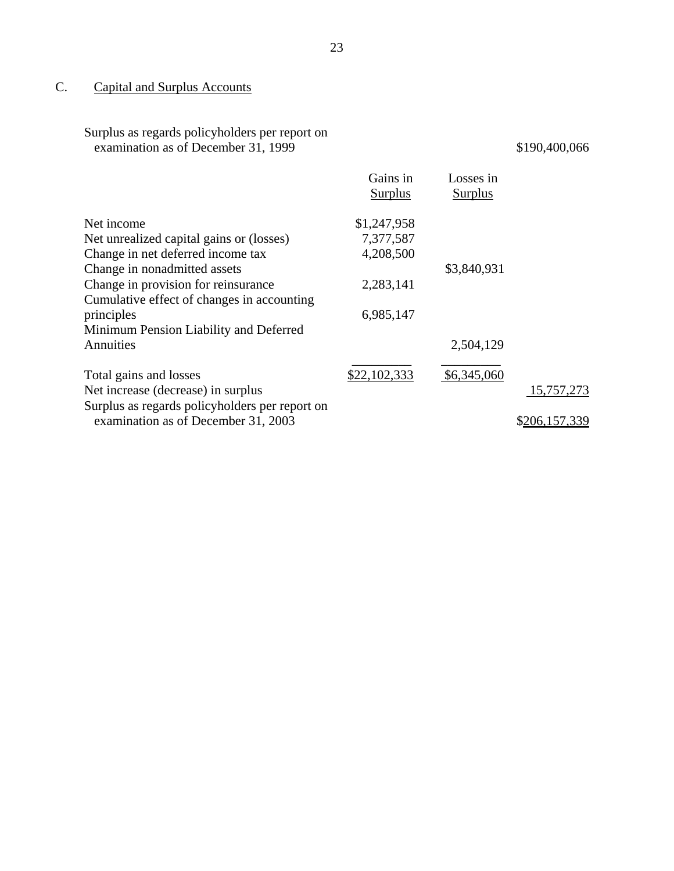# C. Capital and Surplus Accounts

| Surplus as regards policyholders per report on |
|------------------------------------------------|
| examination as of December 31, 1999            |

# $$190,400,066$

|                                                | Gains in<br><b>Surplus</b> | Losses in<br><b>Surplus</b> |               |
|------------------------------------------------|----------------------------|-----------------------------|---------------|
| Net income                                     | \$1,247,958                |                             |               |
| Net unrealized capital gains or (losses)       | 7,377,587                  |                             |               |
| Change in net deferred income tax              | 4,208,500                  |                             |               |
| Change in nonadmitted assets                   |                            | \$3,840,931                 |               |
| Change in provision for reinsurance            | 2,283,141                  |                             |               |
| Cumulative effect of changes in accounting     |                            |                             |               |
| principles                                     | 6,985,147                  |                             |               |
| Minimum Pension Liability and Deferred         |                            |                             |               |
| Annuities                                      |                            | 2,504,129                   |               |
| Total gains and losses                         | \$22,102,333               | \$6,345,060                 |               |
| Net increase (decrease) in surplus             |                            |                             | 15,757,273    |
| Surplus as regards policyholders per report on |                            |                             |               |
| examination as of December 31, 2003            |                            |                             | \$206,157,339 |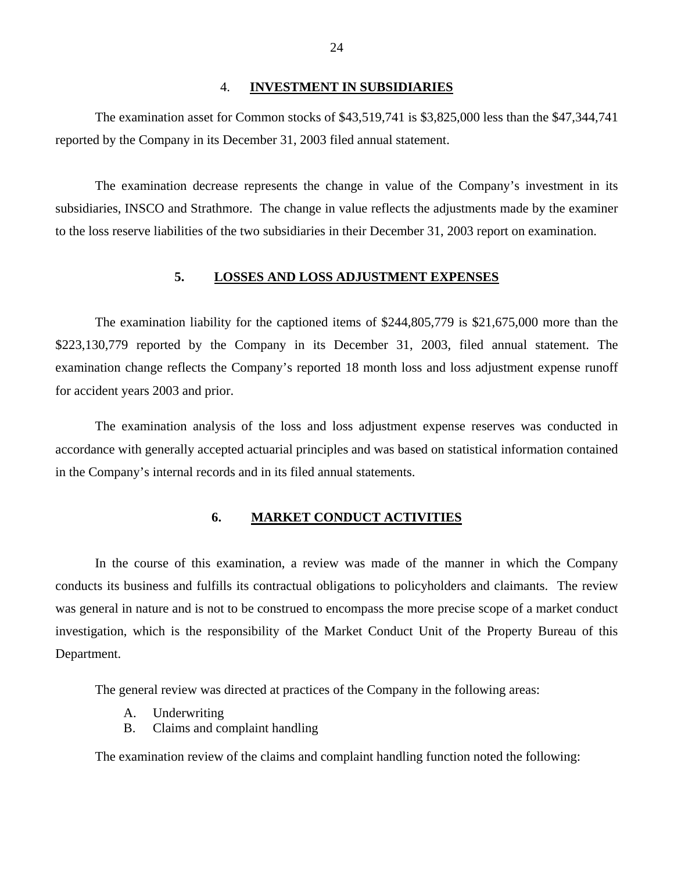#### 4. **INVESTMENT IN SUBSIDIARIES**

The examination asset for Common stocks of \$43,519,741 is \$3,825,000 less than the \$47,344,741 reported by the Company in its December 31, 2003 filed annual statement.

The examination decrease represents the change in value of the Company's investment in its subsidiaries, INSCO and Strathmore. The change in value reflects the adjustments made by the examiner to the loss reserve liabilities of the two subsidiaries in their December 31, 2003 report on examination.

## **5. LOSSES AND LOSS ADJUSTMENT EXPENSES**

The examination liability for the captioned items of \$244,805,779 is \$21,675,000 more than the \$223,130,779 reported by the Company in its December 31, 2003, filed annual statement. The examination change reflects the Company's reported 18 month loss and loss adjustment expense runoff for accident years 2003 and prior.

The examination analysis of the loss and loss adjustment expense reserves was conducted in accordance with generally accepted actuarial principles and was based on statistical information contained in the Company's internal records and in its filed annual statements.

## **6. MARKET CONDUCT ACTIVITIES**

In the course of this examination, a review was made of the manner in which the Company conducts its business and fulfills its contractual obligations to policyholders and claimants. The review was general in nature and is not to be construed to encompass the more precise scope of a market conduct investigation, which is the responsibility of the Market Conduct Unit of the Property Bureau of this Department.

The general review was directed at practices of the Company in the following areas:

- A. Underwriting
- B. Claims and complaint handling

The examination review of the claims and complaint handling function noted the following: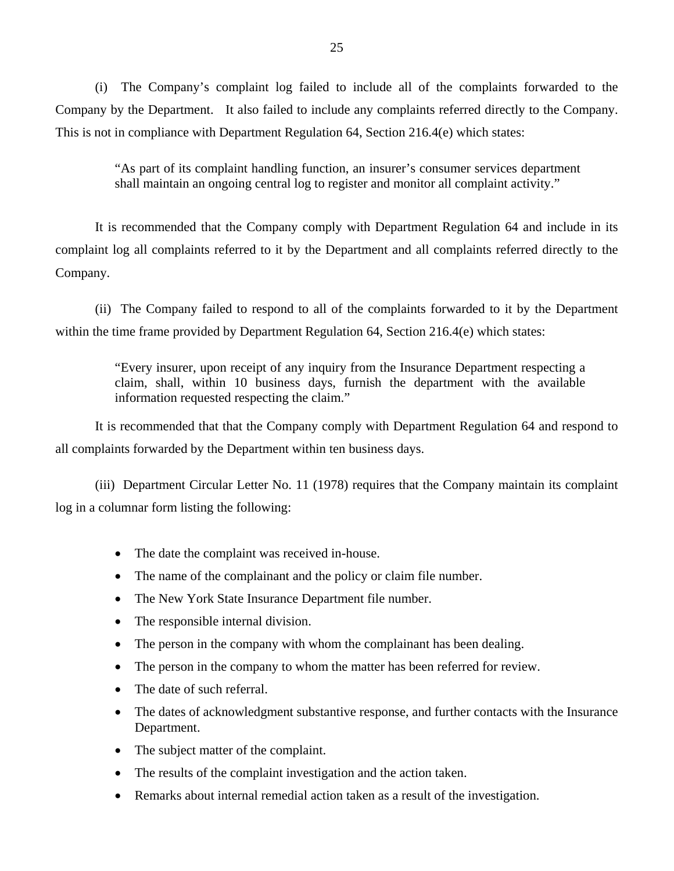(i) The Company's complaint log failed to include all of the complaints forwarded to the Company by the Department. It also failed to include any complaints referred directly to the Company. This is not in compliance with Department Regulation 64, Section 216.4(e) which states:

> "As part of its complaint handling function, an insurer's consumer services department shall maintain an ongoing central log to register and monitor all complaint activity."

It is recommended that the Company comply with Department Regulation 64 and include in its complaint log all complaints referred to it by the Department and all complaints referred directly to the Company.

(ii) The Company failed to respond to all of the complaints forwarded to it by the Department within the time frame provided by Department Regulation 64, Section 216.4(e) which states:

> "Every insurer, upon receipt of any inquiry from the Insurance Department respecting a claim, shall, within 10 business days, furnish the department with the available information requested respecting the claim."

It is recommended that that the Company comply with Department Regulation 64 and respond to all complaints forwarded by the Department within ten business days.

(iii) Department Circular Letter No. 11 (1978) requires that the Company maintain its complaint log in a columnar form listing the following:

- The date the complaint was received in-house.
- The name of the complainant and the policy or claim file number.
- The New York State Insurance Department file number.
- The responsible internal division.
- The person in the company with whom the complainant has been dealing.
- The person in the company to whom the matter has been referred for review.
- The date of such referral.
- The dates of acknowledgment substantive response, and further contacts with the Insurance Department.
- The subject matter of the complaint.
- The results of the complaint investigation and the action taken.
- Remarks about internal remedial action taken as a result of the investigation.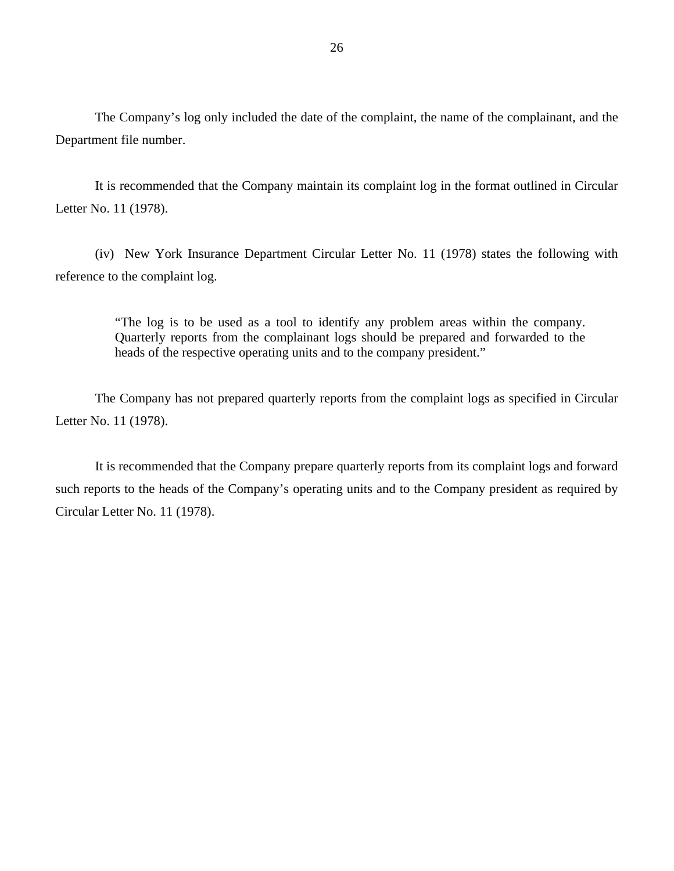The Company's log only included the date of the complaint, the name of the complainant, and the Department file number.

It is recommended that the Company maintain its complaint log in the format outlined in Circular Letter No. 11 (1978).

(iv) New York Insurance Department Circular Letter No. 11 (1978) states the following with reference to the complaint log.

> "The log is to be used as a tool to identify any problem areas within the company. Quarterly reports from the complainant logs should be prepared and forwarded to the heads of the respective operating units and to the company president."

The Company has not prepared quarterly reports from the complaint logs as specified in Circular Letter No. 11 (1978).

It is recommended that the Company prepare quarterly reports from its complaint logs and forward such reports to the heads of the Company's operating units and to the Company president as required by Circular Letter No. 11 (1978).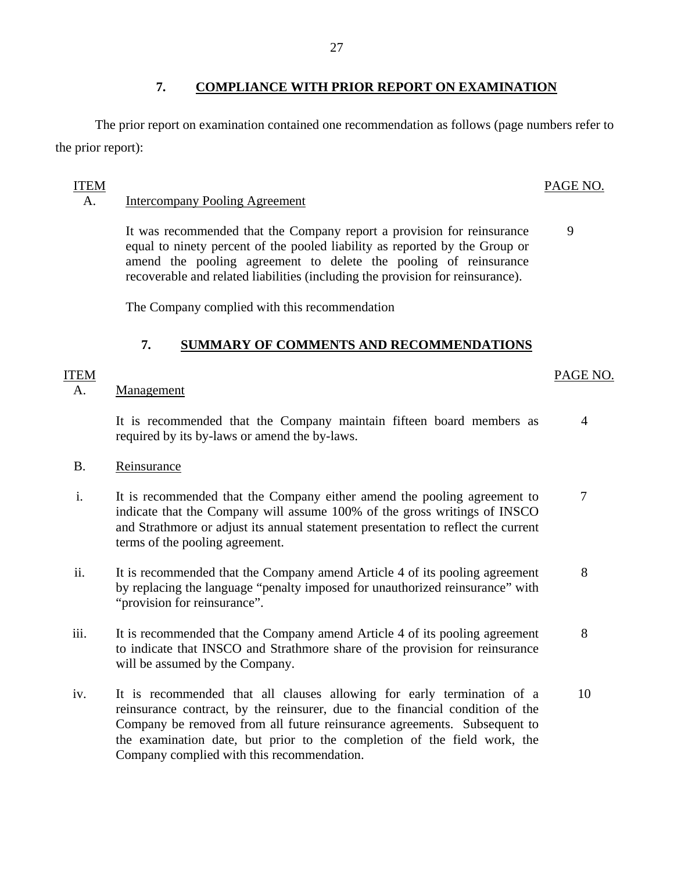# **7. COMPLIANCE WITH PRIOR REPORT ON EXAMINATION**

The prior report on examination contained one recommendation as follows (page numbers refer to the prior report):

## ITEM

## A. Intercompany Pooling Agreement

It was recommended that the Company report a provision for reinsurance equal to ninety percent of the pooled liability as reported by the Group or amend the pooling agreement to delete the pooling of reinsurance recoverable and related liabilities (including the provision for reinsurance).

The Company complied with this recommendation

## **7. SUMMARY OF COMMENTS AND RECOMMENDATIONS**

## A. Management

It is recommended that the Company maintain fifteen board members as 4 required by its by-laws or amend the by-laws.

- B. Reinsurance
- i. It is recommended that the Company either amend the pooling agreement to 7 indicate that the Company will assume 100% of the gross writings of INSCO and Strathmore or adjust its annual statement presentation to reflect the current terms of the pooling agreement.
- ii. It is recommended that the Company amend Article 4 of its pooling agreement 8 by replacing the language "penalty imposed for unauthorized reinsurance" with "provision for reinsurance".
- iii. It is recommended that the Company amend Article 4 of its pooling agreement 8 to indicate that INSCO and Strathmore share of the provision for reinsurance will be assumed by the Company.
- iv. It is recommended that all clauses allowing for early termination of a 10 reinsurance contract, by the reinsurer, due to the financial condition of the Company be removed from all future reinsurance agreements. Subsequent to the examination date, but prior to the completion of the field work, the Company complied with this recommendation.

## PAGE NO.

9

ITEM PAGE NO.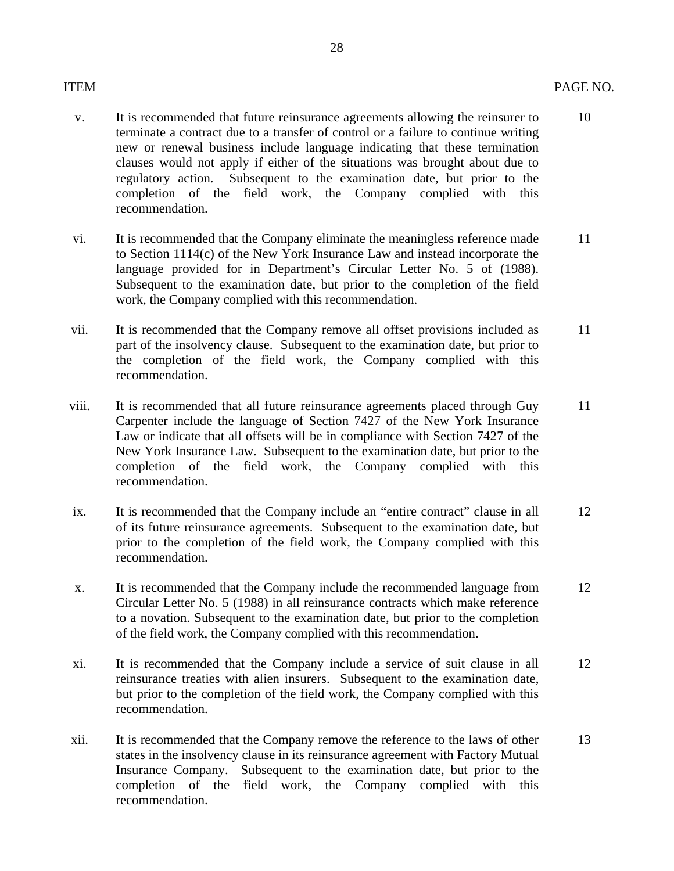- v. It is recommended that future reinsurance agreements allowing the reinsurer to 10 terminate a contract due to a transfer of control or a failure to continue writing new or renewal business include language indicating that these termination clauses would not apply if either of the situations was brought about due to regulatory action. Subsequent to the examination date, but prior to the completion of the field work, the Company complied with this recommendation.
- vi. It is recommended that the Company eliminate the meaningless reference made 11 to Section 1114(c) of the New York Insurance Law and instead incorporate the language provided for in Department's Circular Letter No. 5 of (1988). Subsequent to the examination date, but prior to the completion of the field work, the Company complied with this recommendation.
- vii. It is recommended that the Company remove all offset provisions included as 11 part of the insolvency clause. Subsequent to the examination date, but prior to the completion of the field work, the Company complied with this recommendation.
- viii. It is recommended that all future reinsurance agreements placed through Guy 11 Carpenter include the language of Section 7427 of the New York Insurance Law or indicate that all offsets will be in compliance with Section 7427 of the New York Insurance Law. Subsequent to the examination date, but prior to the completion of the field work, the Company complied with this recommendation.
- ix. It is recommended that the Company include an "entire contract" clause in all 12 of its future reinsurance agreements. Subsequent to the examination date, but prior to the completion of the field work, the Company complied with this recommendation.
- x. It is recommended that the Company include the recommended language from 12 Circular Letter No. 5 (1988) in all reinsurance contracts which make reference to a novation. Subsequent to the examination date, but prior to the completion of the field work, the Company complied with this recommendation.
- xi. It is recommended that the Company include a service of suit clause in all 12 reinsurance treaties with alien insurers. Subsequent to the examination date, but prior to the completion of the field work, the Company complied with this recommendation.
- xii. It is recommended that the Company remove the reference to the laws of other 13 states in the insolvency clause in its reinsurance agreement with Factory Mutual Insurance Company. Subsequent to the examination date, but prior to the completion of the field work, the Company complied with this recommendation.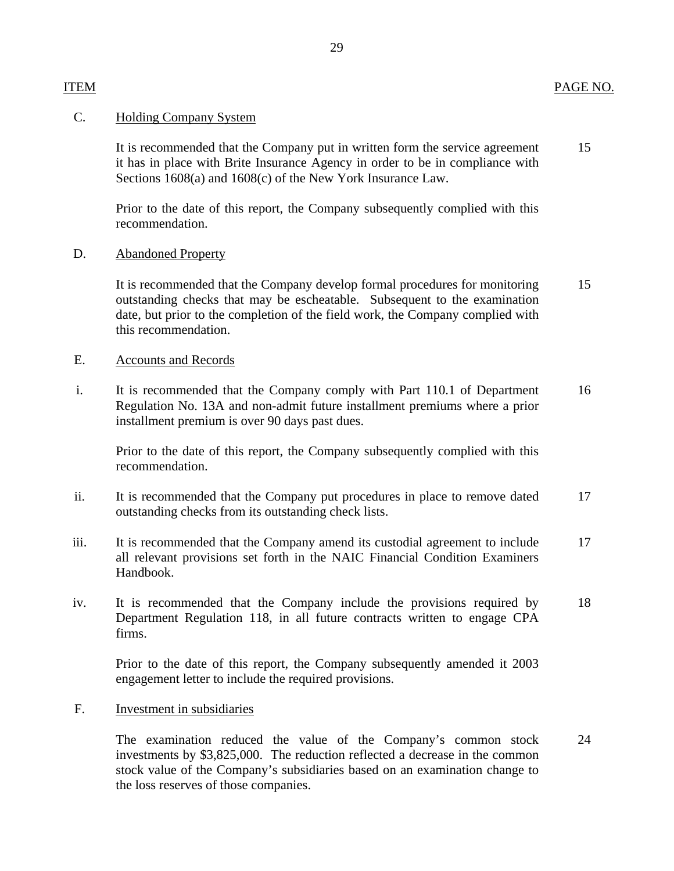## C. Holding Company System

It is recommended that the Company put in written form the service agreement 15 it has in place with Brite Insurance Agency in order to be in compliance with Sections 1608(a) and 1608(c) of the New York Insurance Law.

Prior to the date of this report, the Company subsequently complied with this recommendation.

## D. Abandoned Property

It is recommended that the Company develop formal procedures for monitoring 15 outstanding checks that may be escheatable. Subsequent to the examination date, but prior to the completion of the field work, the Company complied with this recommendation.

## E. Accounts and Records

i. It is recommended that the Company comply with Part 110.1 of Department 16 Regulation No. 13A and non-admit future installment premiums where a prior installment premium is over 90 days past dues.

Prior to the date of this report, the Company subsequently complied with this recommendation.

- ii. It is recommended that the Company put procedures in place to remove dated 17 outstanding checks from its outstanding check lists.
- iii. It is recommended that the Company amend its custodial agreement to include 17 all relevant provisions set forth in the NAIC Financial Condition Examiners Handbook.
- iv. It is recommended that the Company include the provisions required by 18 Department Regulation 118, in all future contracts written to engage CPA firms.

Prior to the date of this report, the Company subsequently amended it 2003 engagement letter to include the required provisions.

## F. Investment in subsidiaries

The examination reduced the value of the Company's common stock 24 investments by \$3,825,000. The reduction reflected a decrease in the common stock value of the Company's subsidiaries based on an examination change to the loss reserves of those companies.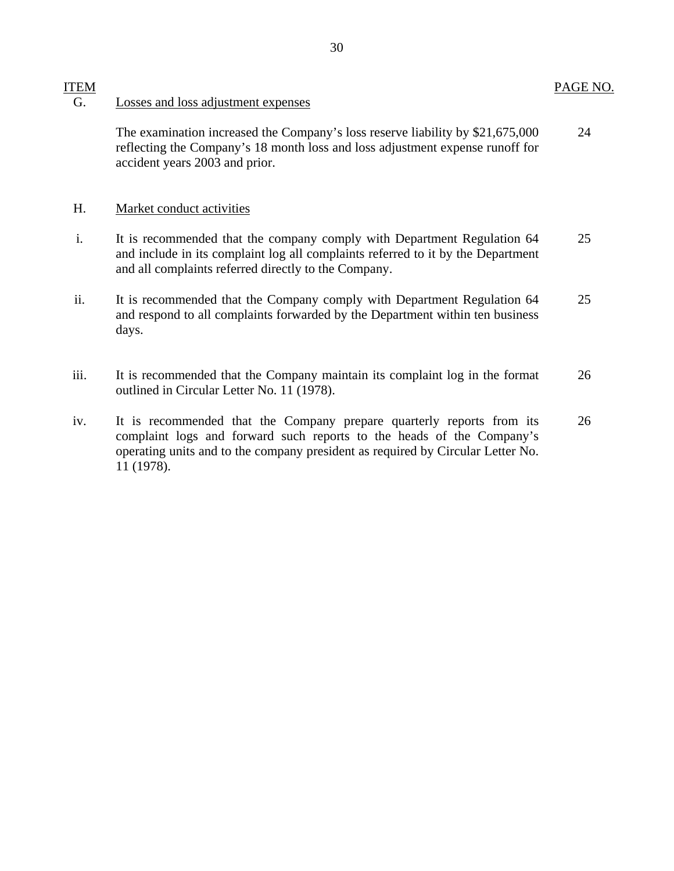## G. Losses and loss adjustment expenses

The examination increased the Company's loss reserve liability by \$21,675,000 24 reflecting the Company's 18 month loss and loss adjustment expense runoff for accident years 2003 and prior.

## H. Market conduct activities

- i. It is recommended that the company comply with Department Regulation 64 25 and include in its complaint log all complaints referred to it by the Department and all complaints referred directly to the Company.
- ii. It is recommended that the Company comply with Department Regulation 64 25 and respond to all complaints forwarded by the Department within ten business days.
- iii. It is recommended that the Company maintain its complaint log in the format 26 outlined in Circular Letter No. 11 (1978).
- iv. It is recommended that the Company prepare quarterly reports from its 26 complaint logs and forward such reports to the heads of the Company's operating units and to the company president as required by Circular Letter No. 11 (1978).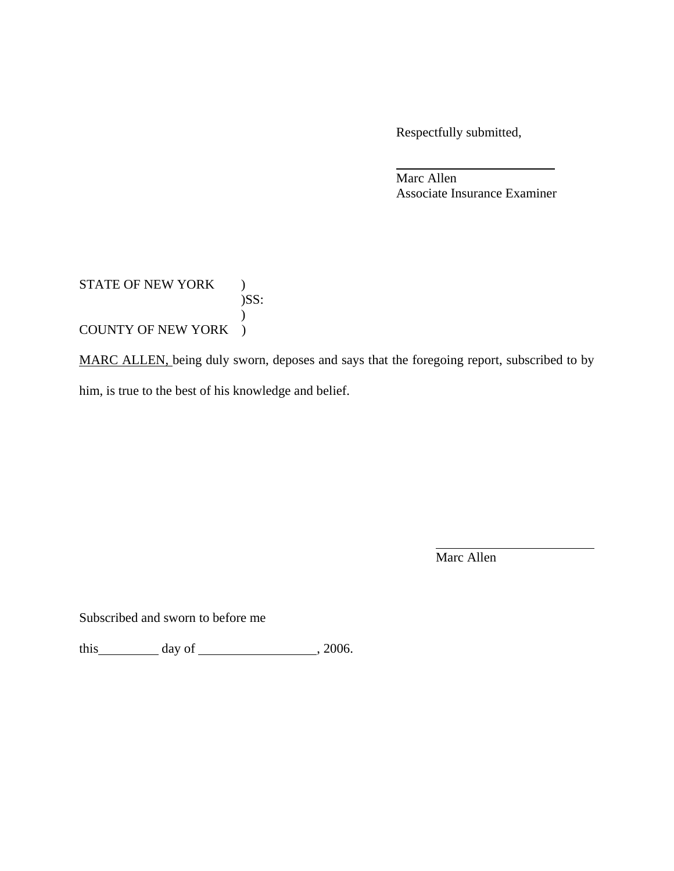Respectfully submitted,

Marc Allen Associate Insurance Examiner

# STATE OF NEW YORK )  $)$ SS:  $\mathcal{L}$ COUNTY OF NEW YORK )

MARC ALLEN, being duly sworn, deposes and says that the foregoing report, subscribed to by him, is true to the best of his knowledge and belief.

Marc Allen

Subscribed and sworn to before me

this  $\qquad \qquad$  day of  $\qquad \qquad$  , 2006.